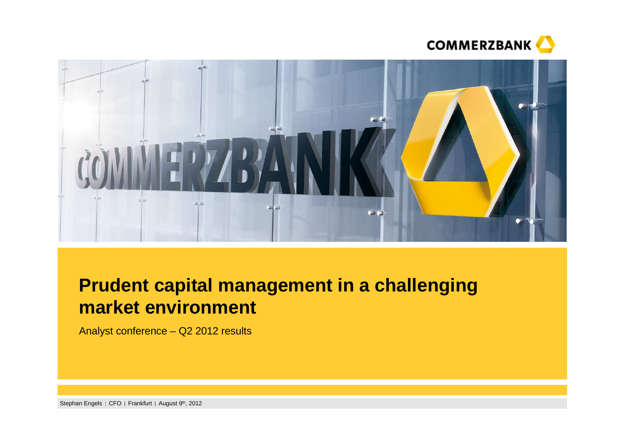



# **Prudent capital management in a challenging market environment**

Analyst conference – Q2 2012 results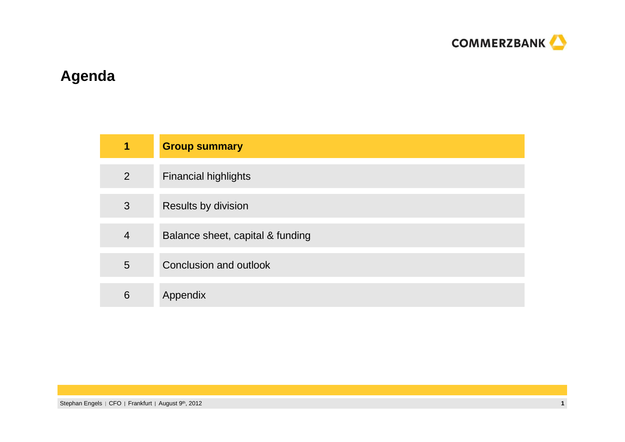

# **Agenda**

| 1              | <b>Group summary</b>             |
|----------------|----------------------------------|
| $\overline{2}$ | <b>Financial highlights</b>      |
| 3              | Results by division              |
| $\overline{4}$ | Balance sheet, capital & funding |
| 5              | Conclusion and outlook           |
| 6              | Appendix                         |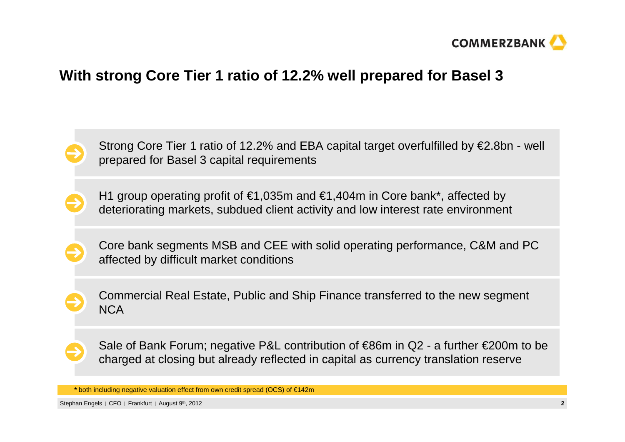

# **With strong Core Tier 1 ratio of 12.2% well prepared for Basel 3**



H1 group operating profit of  $\epsilon$ 1,035m and  $\epsilon$ 1,404m in Core bank\*, affected by deteriorating markets, subdued client activity and low interest rate environment

Core bank segments MSB and CEE with solid operating performance, C&M and PC affected by difficult market conditions

Commercial Real Estate, Public and Ship Finance transferred to the new segment **NCA** 

Sale of Bank Forum; negative P&L contribution of €86m in Q2 - a further €200m to be charged at closing but already reflected in capital as currency translation reserve

**\*** both including negative valuation effect from own credit spread (OCS) of €142m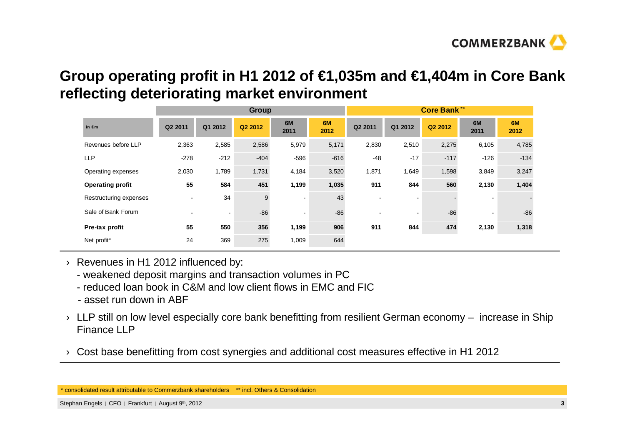

# **Group operating profit in H1 2012 of €1,035m and €1,404m in Core Bank reflecting deteriorating market environment**

|                         |                | <b>Group</b>   |         |                |            |                          |           | <b>Core Bank**</b> |                |            |
|-------------------------|----------------|----------------|---------|----------------|------------|--------------------------|-----------|--------------------|----------------|------------|
| in $\epsilon$ m         | Q2 2011        | Q1 2012        | Q2 2012 | 6M<br>2011     | 6M<br>2012 | Q2 2011                  | Q1 2012   | Q2 2012            | 6M<br>2011     | 6M<br>2012 |
| Revenues before LLP     | 2,363          | 2,585          | 2,586   | 5,979          | 5,171      | 2,830                    | 2,510     | 2,275              | 6,105          | 4,785      |
| <b>LLP</b>              | $-278$         | $-212$         | $-404$  | $-596$         | $-616$     | $-48$                    | $-17$     | $-117$             | $-126$         | $-134$     |
| Operating expenses      | 2,030          | 1,789          | 1,731   | 4,184          | 3,520      | 1,871                    | 1,649     | 1,598              | 3,849          | 3,247      |
| <b>Operating profit</b> | 55             | 584            | 451     | 1,199          | 1,035      | 911                      | 844       | 560                | 2,130          | 1,404      |
| Restructuring expenses  | $\sim$         | 34             | 9       | $\blacksquare$ | 43         | -                        |           |                    |                |            |
| Sale of Bank Forum      | $\blacksquare$ | $\blacksquare$ | $-86$   | ۰              | $-86$      | $\overline{\phantom{0}}$ | $\,$ $\,$ | $-86$              | $\blacksquare$ | $-86$      |
| Pre-tax profit          | 55             | 550            | 356     | 1,199          | 906        | 911                      | 844       | 474                | 2,130          | 1,318      |
| Net profit*             | 24             | 369            | 275     | 1,009          | 644        |                          |           |                    |                |            |

- › Revenues in H1 2012 influenced by:
	- weakened deposit margins and transaction volumes in PC
	- reduced loan book in C&M and low client flows in EMC and FIC
	- asset run down in ABF
- $\rightarrow$  LLP still on low level especially core bank benefitting from resilient German economy increase in Ship Finance LLP
- $\rightarrow$   $\,$  Cost base benefitting from cost synergies and additional cost measures effective in H1 2012

<sup>\*</sup> consolidated result attributable to Commerzbank shareholders \*\* incl. Others & Consolidation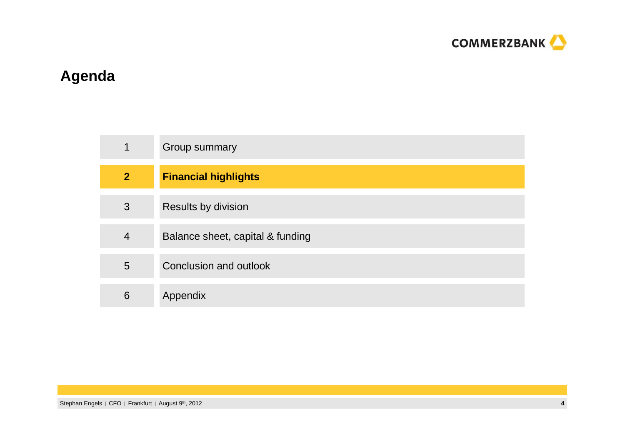

# **Agenda**

| $\mathbf 1$    | Group summary                    |
|----------------|----------------------------------|
| $\overline{2}$ | <b>Financial highlights</b>      |
| 3              | <b>Results by division</b>       |
| 4              | Balance sheet, capital & funding |
| 5              | Conclusion and outlook           |
| 6              | Appendix                         |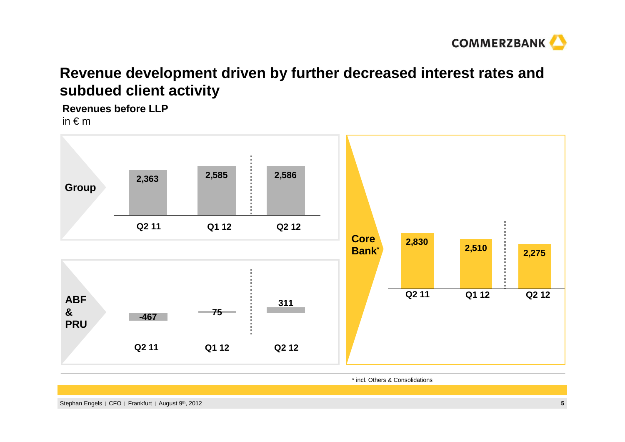

# **Revenue development driven by further decreased interest rates and subdued client activity**

**Revenues before LLP**in € <sup>m</sup>



\* incl. Others & Consolidations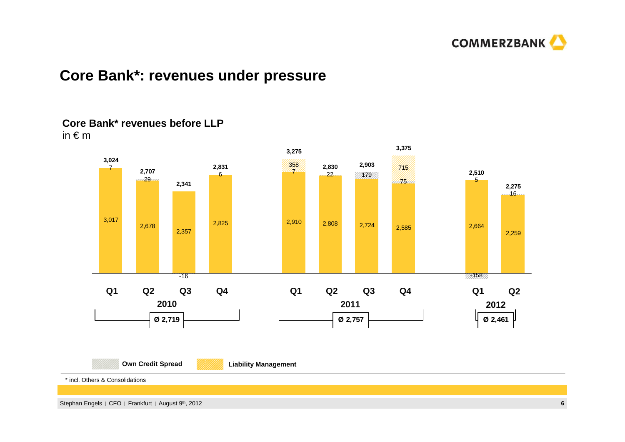

### **Core Bank\*: revenues under pressure**

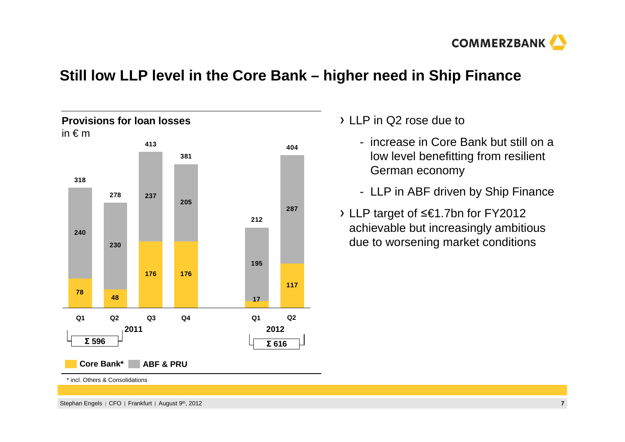

# **Still low LLP level in the Core Bank – higher need in Ship Finance**



 $\lambda$  LLP in Q2 rose due to

- increase in Core Bank but still on a low level benefitting from resilient German economy
- LLP in ABF driven by Ship Finance
- LLP target of ื€1.7bn for FY2012 achievable but increasingly ambitious due to worsening market conditions

\* incl. Others & Consolidations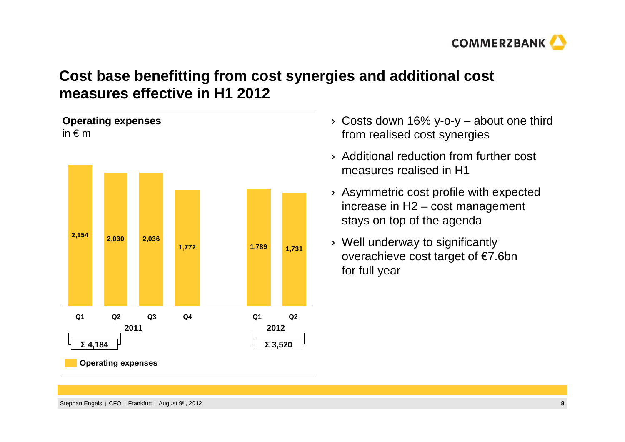

# **Cost base benefitting from cost synergies and additional cost measures effective in H1 2012**



- › Costs down 16% y-o-y about one third from realised cost synergies
- › Additional reduction from further cost measures realised in H1
- › Asymmetric cost profile with expected increase in H2 – cost management stays on top of the agenda
- › Well underway to significantly overachieve cost target of €7.6bn for full year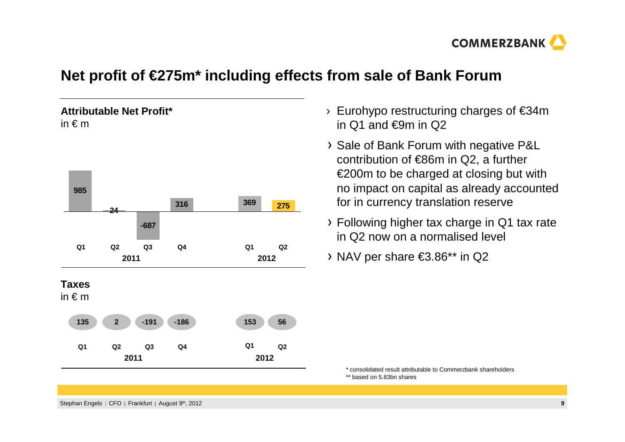

# **Net profit of €275m\* including effects from sale of Bank Forum**

### **Attributable Net Profit\***in  $\notin$  m



- › Eurohypo restructuring charges of €34m in  $Q1$  and €9m in  $Q2$
- > Sale of Bank Forum with negative P&L contribution of €86m in Q2, a further  $\epsilon$ 200m to be charged at closing but with no impact on capital as already accounted for in currency translation reserve
- Following higher tax charge in Q1 tax rate in Q2 now on a normalised level
- NAV per share €3.86\*\* in Q2

\* consolidated result attributable to Commerzbank shareholders\*\* based on 5.83bn shares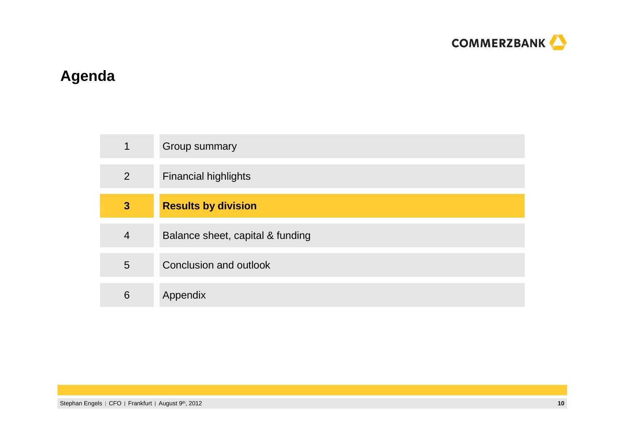

# **Agenda**

| $\mathbf 1$    | Group summary                    |
|----------------|----------------------------------|
| $\overline{2}$ | <b>Financial highlights</b>      |
| $\mathbf{3}$   | <b>Results by division</b>       |
| $\overline{4}$ | Balance sheet, capital & funding |
| 5              | Conclusion and outlook           |
| 6              | Appendix                         |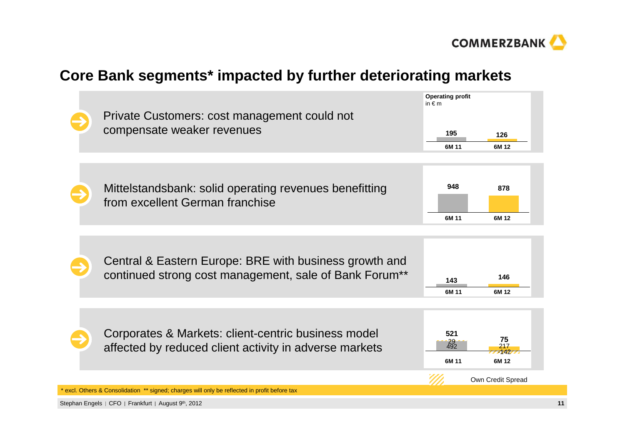

# **Core Bank segments\* impacted by further deteriorating markets**

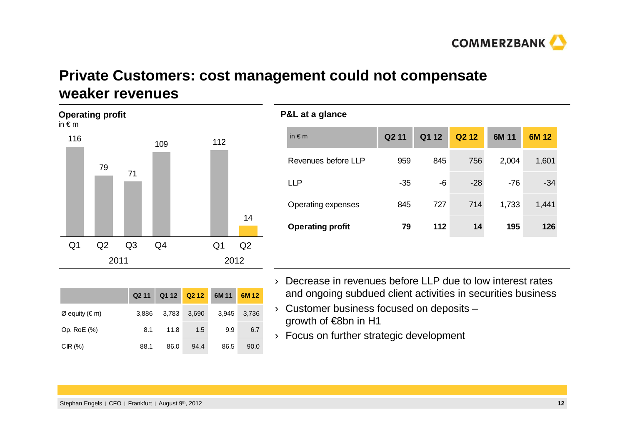

# **Private Customers: cost management could not compensate weaker revenues**



|                                 | Q <sub>2</sub> 11 | Q1 12 Q2 12 |       | 6M 11 | 6M 12 |
|---------------------------------|-------------------|-------------|-------|-------|-------|
| $\varnothing$ equity ( $\in$ m) | 3.886             | 3,783       | 3,690 | 3.945 | 3,736 |
| Op. RoE (%)                     | 8.1               | 11.8        | 1.5   | 9.9   | 6.7   |
| CIR(%)                          | 88.1              | 86.0        | 94.4  | 86.5  | 90.0  |

### **P&L at a glance**

| in $\notin$ m           | Q <sub>2</sub> 11 | Q1 12 | Q <sub>2</sub> 1 <sub>2</sub> | 6M 11 | 6M 12 |
|-------------------------|-------------------|-------|-------------------------------|-------|-------|
| Revenues before LLP     | 959               | 845   | 756                           | 2,004 | 1,601 |
| LLP                     | $-35$             | -6    | $-28$                         | $-76$ | $-34$ |
| Operating expenses      | 845               | 727   | 714                           | 1,733 | 1,441 |
| <b>Operating profit</b> | 79                | 112   | 14                            | 195   | 126   |

- › Decrease in revenues before LLP due to low interest rates and ongoing subdued client activities in securities business
- $\rightarrow$  Customer business focused on deposits growth of €8bn in H1
- › Focus on further strategic development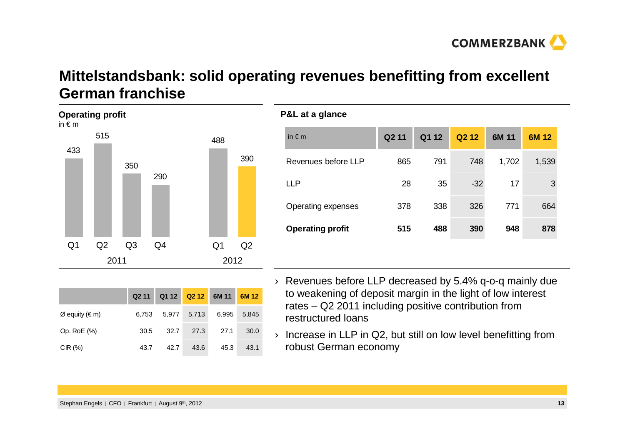

# **Mittelstandsbank: solid operating revenues benefitting from excellent German franchise**

**P&L at a glance**



| in $\notin$ m       | Q211 |     | Q1 12 Q2 12 | 6M 11 | 6M 12 |
|---------------------|------|-----|-------------|-------|-------|
| Revenues before LLP | 865  | 791 | 748         | 1,702 | 1,539 |
| 1 I D               | 28   | 35  | $-32$       | 17    | 3     |

|                | Q2 11 |      |             | Q1 12 Q2 12 6M 11 | 6M12  |
|----------------|-------|------|-------------|-------------------|-------|
| Ø equity (€ m) | 6.753 |      | 5,977 5,713 | 6,995             | 5.845 |
| Op. RoE (%)    | 30.5  | 32.7 | 27.3        | 27.1              | 30.0  |
| CIR(%)         | 43.7  | 42.7 | 43.6        | 45.3              | 43.1  |

› Revenues before LLP decreased by 5.4% q-o-q mainly due to weakening of deposit margin in the light of low interest rates – Q2 2011 including positive contribution fromrestructured loans

Operating expenses 378 338 326 <sup>771</sup> 664

**Operating profit 515 488 390 948 878**

› Increase in LLP in Q2, but still on low level benefitting from robust German economy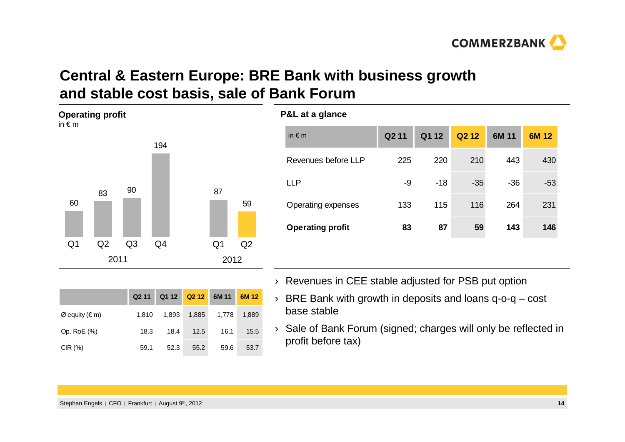

# **Central & Eastern Europe: BRE Bank with business growthand stable cost basis, sale of Bank Forum**



|                  | Q <sub>2</sub> 11 |       | Q1 12 Q2 12 6M 11 |       | 6M 12 |
|------------------|-------------------|-------|-------------------|-------|-------|
| $Ø$ equity (€ m) | 1.810             | 1,893 | 1,885             | 1,778 | 1,889 |
| Op. RoE (%)      | 18.3              | 18.4  | 12.5              | 16.1  | 15.5  |
| CIR(%)           | 59.1              | 52.3  | 55.2              | 59.6  | 53.7  |

### **P&L at a glance**

| Q <sub>2</sub> 11 | Q1 12 | Q <sub>2</sub> 1 <sub>2</sub> | 6M 11 | 6M 12 |
|-------------------|-------|-------------------------------|-------|-------|
| 225               | 220   | 210                           | 443   | 430   |
| -9                | $-18$ | $-35$                         | $-36$ | $-53$ |
| 133               | 115   | 116                           | 264   | 231   |
| 83                | 87    | 59                            | 143   | 146   |
|                   |       |                               |       |       |

- › Revenues in CEE stable adjusted for PSB put option
- › BRE Bank with growth in deposits and loans q-o-q cost base stable
- › Sale of Bank Forum (signed; charges will only be reflected in profit before tax)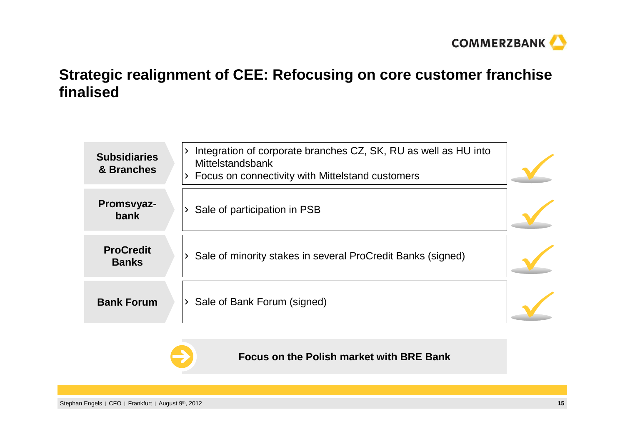

# **Strategic realignment of CEE: Refocusing on core customer franchise finalised**

| <b>Subsidiaries</b><br>& Branches | Integration of corporate branches CZ, SK, RU as well as HU into<br>Mittelstandsbank<br>> Focus on connectivity with Mittelstand customers |  |
|-----------------------------------|-------------------------------------------------------------------------------------------------------------------------------------------|--|
| Promsvyaz-<br>bank                | Sale of participation in PSB                                                                                                              |  |
| <b>ProCredit</b><br><b>Banks</b>  | Sale of minority stakes in several ProCredit Banks (signed)                                                                               |  |
| <b>Bank Forum</b>                 | Sale of Bank Forum (signed)                                                                                                               |  |



### **Focus on the Polish market with BRE Bank**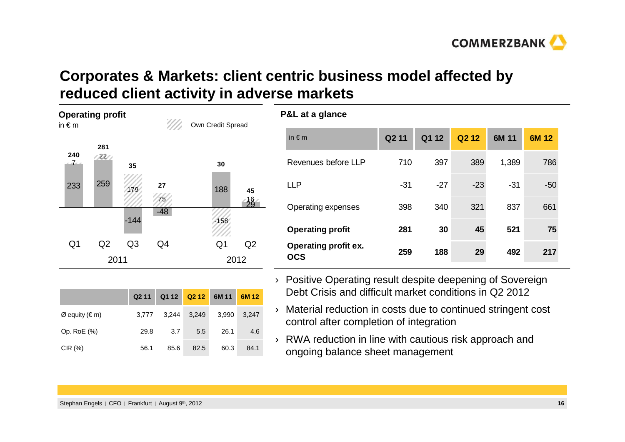# **COMMERZBANK**

# **Corporates & Markets: client centric business model affected by reduced client activity in adverse markets**

**P&L at a glance**

| in $\epsilon$ m      | <b>Operating profit</b> |                | 977,     | Own Credit Spread |      |
|----------------------|-------------------------|----------------|----------|-------------------|------|
| 240<br>$\mathcal{I}$ | 281<br>22/              | 35             |          | 30                |      |
| 233                  | 259                     | 179            | 27<br>75 | 188               | 45   |
|                      |                         | $-144$         | $-48$    | 158               |      |
| Q <sub>1</sub>       | Q <sub>2</sub>          | Q <sub>3</sub> | Q4       | Q1                | Q2   |
|                      | 2011                    |                |          |                   | 2012 |

|                  | Q211  |      | Q1 12 Q2 12 6M 11 |       | 6M 12 |
|------------------|-------|------|-------------------|-------|-------|
| $Ø$ equity (€ m) | 3.777 |      | 3,244 3,249       | 3.990 | 3,247 |
| Op. RoE (%)      | 29.8  | 3.7  | 5.5               | 26.1  | 4.6   |
| CIR(%)           | 56.1  | 85.6 | 82.5              | 60.3  | 84.1  |

| in $\notin$ m                             | Q <sub>2</sub> 11 | Q1 12 | Q <sub>2</sub> 1 <sub>2</sub> | 6M 11 | 6M 12 |
|-------------------------------------------|-------------------|-------|-------------------------------|-------|-------|
| Revenues before LLP                       | 710               | 397   | 389                           | 1,389 | 786   |
| <b>LLP</b>                                | $-31$             | $-27$ | $-23$                         | $-31$ | $-50$ |
| Operating expenses                        | 398               | 340   | 321                           | 837   | 661   |
| <b>Operating profit</b>                   | 281               | 30    | 45                            | 521   | 75    |
| <b>Operating profit ex.</b><br><b>OCS</b> | 259               | 188   | 29                            | 492   | 217   |

- › Positive Operating result despite deepening of Sovereign Debt Crisis and difficult market conditions in Q2 2012
- › Material reduction in costs due to continued stringent cost control after completion of integration
- › RWA reduction in line with cautious risk approach and ongoing balance sheet management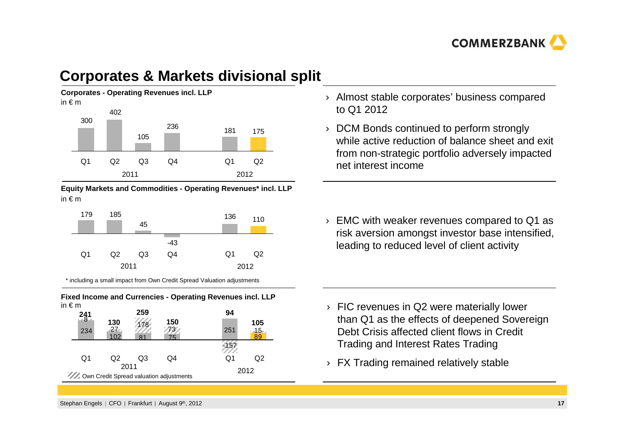

# **Corporates & Markets divisional split**



**Equity Markets and Commodities - Operating Revenues\* incl. LLP**in € <sup>m</sup>



\* including a small impact from Own Credit Spread Valuation adjustments



 $O<sub>1</sub>$ 

2012

 $Q<sub>2</sub>$ 

- › Almost stable corporates' business compared to Q1 2012
- › DCM Bonds continued to perform strongly while active reduction of balance sheet and exit from non-strategic portfolio adversely impacted net interest income

› EMC with weaker revenues compared to Q1 as risk aversion amongst investor base intensified, leading to reduced level of client activity

- › FIC revenues in Q2 were materially lower than Q1 as the effects of deepened Sovereign Debt Crisis affected client flows in Credit Trading and Interest Rates Trading
- $\rightarrow$  FX Trading remained relatively stable

Own Credit Spread valuation adjustments Q2 Q3 Q4 2011

 $O<sub>1</sub>$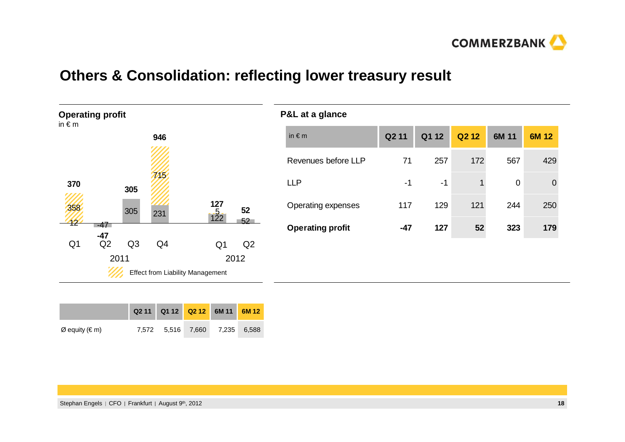

# **Others & Consolidation: reflecting lower treasury result**



| <b>P&amp;L at a glance</b> |                   |       |                               |       |          |
|----------------------------|-------------------|-------|-------------------------------|-------|----------|
| in $\notin$ m              | Q <sub>2</sub> 11 | Q1 12 | Q <sub>2</sub> 1 <sub>2</sub> | 6M 11 | 6M 12    |
| Revenues before LLP        | 71                | 257   | 172                           | 567   | 429      |
| <b>LLP</b>                 | -1                | $-1$  | 1                             | 0     | $\Omega$ |
| Operating expenses         | 117               | 129   | 121                           | 244   | 250      |
| <b>Operating profit</b>    | $-47$             | 127   | 52                            | 323   | 179      |
|                            |                   |       |                               |       |          |
|                            |                   |       |                               |       |          |

|                |  | Q2 11 Q1 12 Q2 12 6M 11 6M 12 |  |
|----------------|--|-------------------------------|--|
| Ø equity (€ m) |  | 7,572 5,516 7,660 7,235 6,588 |  |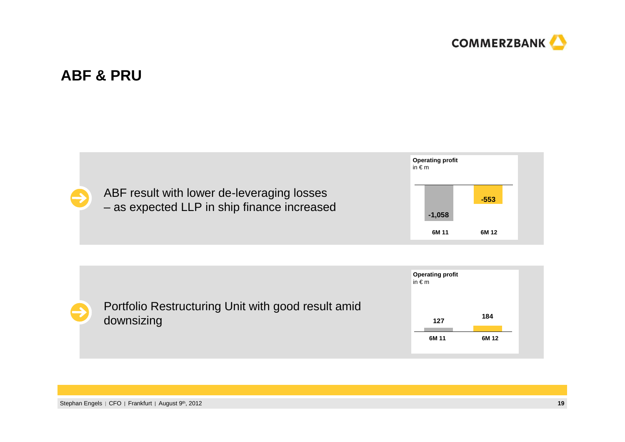

# **ABF & PRU**

ABF result with lower de-leveraging losses– as expected LLP in ship finance increased



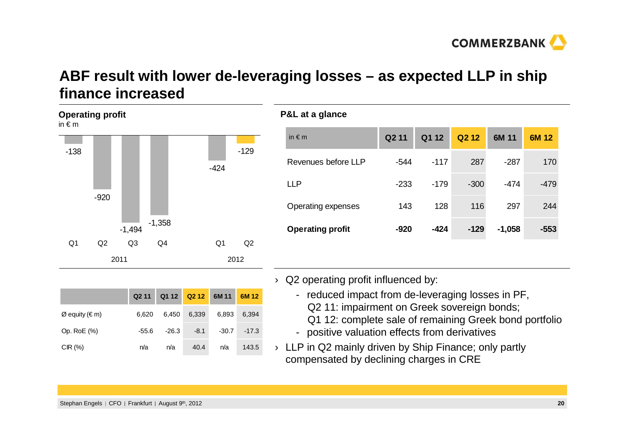

# **ABF result with lower de-leveraging losses – as expected LLP in ship finance increased**



|                  | Q211    |         | Q1 12 Q2 12 6M 11 |       | 6M12    |
|------------------|---------|---------|-------------------|-------|---------|
| $Ø$ equity (€ m) | 6.620   | 6,450   | 6,339             | 6,893 | 6,394   |
| Op. RoE (%)      | $-55.6$ | $-26.3$ | $-8.1$            | -30.7 | $-17.3$ |
| CIR(%)           | n/a     | n/a     | 40.4              | n/a   | 143.5   |

### **P&L at a glance**

| Q <sub>2</sub> 11 | Q1 12  | Q <sub>2</sub> 1 <sub>2</sub> | 6M 11    | 6M 12  |
|-------------------|--------|-------------------------------|----------|--------|
| $-544$            | $-117$ | 287                           | -287     | 170    |
| $-233$            | $-179$ | $-300$                        | -474     | -479   |
| 143               | 128    | 116                           | 297      | 244    |
| $-920$            | $-424$ | $-129$                        | $-1,058$ | $-553$ |
|                   |        |                               |          |        |

- $\rightarrow$  Q2 operating profit influenced by:
	- reduced impact from de-leveraging losses in PF, Q2 11: impairment on Greek sovereign bonds;
		- Q1 12: complete sale of remaining Greek bond portfolio
	- positive valuation effects from derivatives
- $\rightarrow$  LLP in Q2 mainly driven by Ship Finance; only partly compensated by declining charges in CRE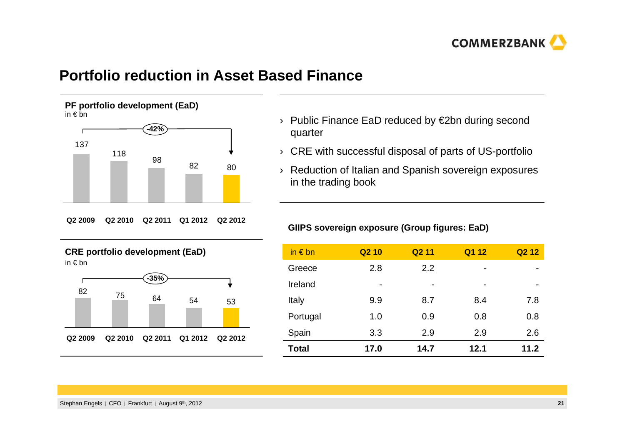

### **Portfolio reduction in Asset Based Finance**

**PF portfolio development (EaD)** in € bn



**Q2 2009 Q2 2011 Q2 2010 Q1 2012 Q2 2012**





- › Public Finance EaD reduced by €2bn during second quarter
- $\rightarrow$  CRE with successful disposal of parts of US-portfolio
- › Reduction of Italian and Spanish sovereign exposures in the trading book

#### **GIIPS sovereign exposure (Group figures: EaD)**

| in $\epsilon$ bn | Q <sub>2</sub> 10 | Q <sub>2</sub> 11 | Q1 12                    | Q <sub>2</sub> 1 <sub>2</sub> |
|------------------|-------------------|-------------------|--------------------------|-------------------------------|
| Greece           | 2.8               | 2.2               | -                        |                               |
| Ireland          | $\blacksquare$    | $\blacksquare$    | $\overline{\phantom{0}}$ | -                             |
| Italy            | 9.9               | 8.7               | 8.4                      | 7.8                           |
| Portugal         | 1.0               | 0.9               | 0.8                      | 0.8                           |
| Spain            | 3.3               | 2.9               | 2.9                      | 2.6                           |
| Total            | 17.0              | 14.7              | 12.1                     | 11.2                          |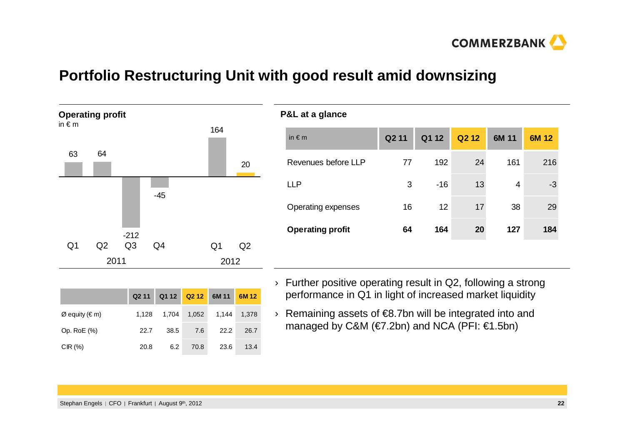

# **Portfolio Restructuring Unit with good result amid downsizing**

**P&L at a glance**



|                  |       | Q2 11 Q1 12 Q2 12 6M 11 6M 12 |       |       |       |
|------------------|-------|-------------------------------|-------|-------|-------|
| $Ø$ equity (€ m) | 1.128 | 1.704                         | 1,052 | 1,144 | 1,378 |
| Op. RoE (%)      | 22.7  | 38.5                          | 7.6   | 22.2  | 26.7  |
| $CIR$ (%)        | 20.8  | 6.2                           | 70.8  | 23.6  | 13.4  |

| in $\notin$ m           | Q <sub>2</sub> 11 | Q1 12 | Q <sub>2</sub> 1 <sub>2</sub> | 6M 11 | 6M 12 |
|-------------------------|-------------------|-------|-------------------------------|-------|-------|
| Revenues before LLP     | 77                | 192   | 24                            | 161   | 216   |
| LLP                     | 3                 | $-16$ | 13                            | 4     | -3    |
| Operating expenses      | 16                | 12    | 17                            | 38    | 29    |
| <b>Operating profit</b> | 64                | 164   | 20                            | 127   | 184   |
|                         |                   |       |                               |       |       |

- › Further positive operating result in Q2, following a strong performance in Q1 in light of increased market liquidity
- › Remaining assets of €8.7bn will be integrated into and managed by C&M (€7.2bn) and NCA (PFI: €1.5bn)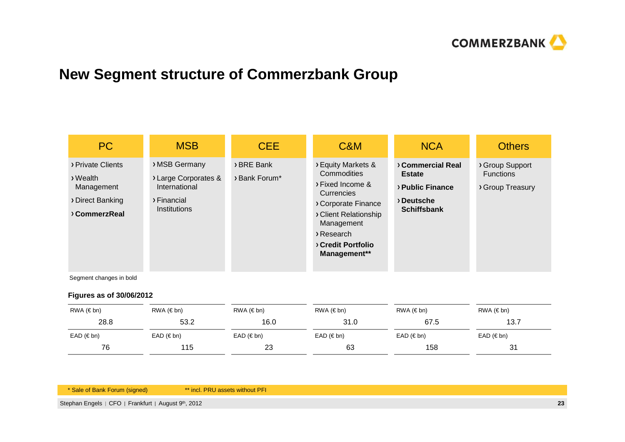

# **New Segment structure of Commerzbank Group**

| PC                                                                                | <b>MSB</b>                                                                                   | <b>CEE</b>                  | C&M                                                                                                                                                                                        | <b>NCA</b>                                                                               | <b>Others</b>                                           |
|-----------------------------------------------------------------------------------|----------------------------------------------------------------------------------------------|-----------------------------|--------------------------------------------------------------------------------------------------------------------------------------------------------------------------------------------|------------------------------------------------------------------------------------------|---------------------------------------------------------|
| > Private Clients<br>> Wealth<br>Management<br>> Direct Banking<br>> Commerz Real | > MSB Germany<br>> Large Corporates &<br>International<br>> Financial<br><b>Institutions</b> | > BRE Bank<br>> Bank Forum* | > Equity Markets &<br>Commodities<br>> Fixed Income &<br><b>Currencies</b><br>> Corporate Finance<br>> Client Relationship<br>Management<br>Research<br>> Credit Portfolio<br>Management** | > Commercial Real<br><b>Estate</b><br>> Public Finance<br>Deutsche<br><b>Schiffsbank</b> | > Group Support<br><b>Functions</b><br>> Group Treasury |

Segment changes in bold

#### **Figures as of 30/06/2012**

| RWA (€ bn)          | RWA (€ bn)          | RWA (€ bn)             | $RWA$ ( $\notin$ bn) | RWA (€ bn)          | RWA (€ bn)          |
|---------------------|---------------------|------------------------|----------------------|---------------------|---------------------|
| 28.8                | 53.2                | 16.0                   | 31.0                 | 67.5                | 13.7                |
| $EAD \ (\epsilon \$ | $EAD \ (\epsilon \$ | $EAD \ (\epsilon b n)$ | $EAD \ (\epsilon \$  | $EAD \ (\epsilon \$ | $EAD \ (\epsilon \$ |
| 76                  | 115                 | 23                     | 63                   | 158                 | 31                  |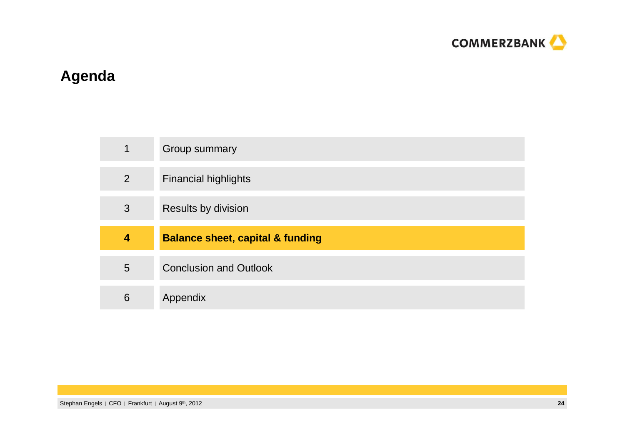

# **Agenda**

| $\mathbf 1$    | Group summary                               |
|----------------|---------------------------------------------|
| $\overline{2}$ | <b>Financial highlights</b>                 |
| 3              | Results by division                         |
|                |                                             |
| 4              | <b>Balance sheet, capital &amp; funding</b> |
| 5              | <b>Conclusion and Outlook</b>               |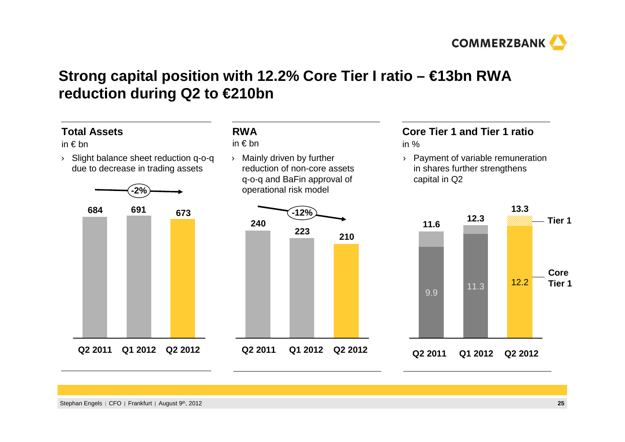

# **Strong capital position with 12.2% Core Tier I ratio – €13bn RWA reduction during Q2 to €210bn**

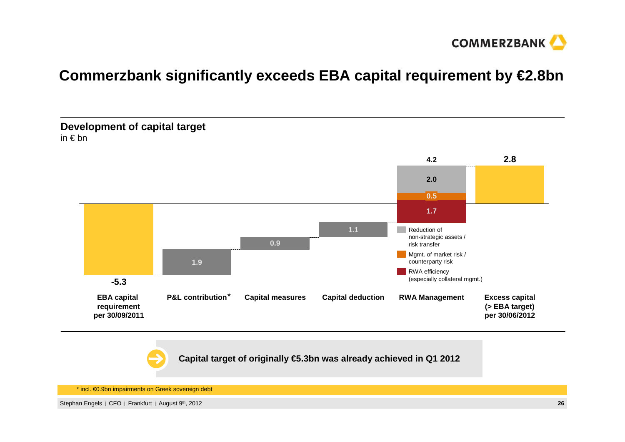

# **Commerzbank significantly exceeds EBA capital requirement by €2.8bn**



**Capital target of originally €5.3bn was already achieved in Q1 2012**

\* incl. €0.9bn impairments on Greek sovereign debt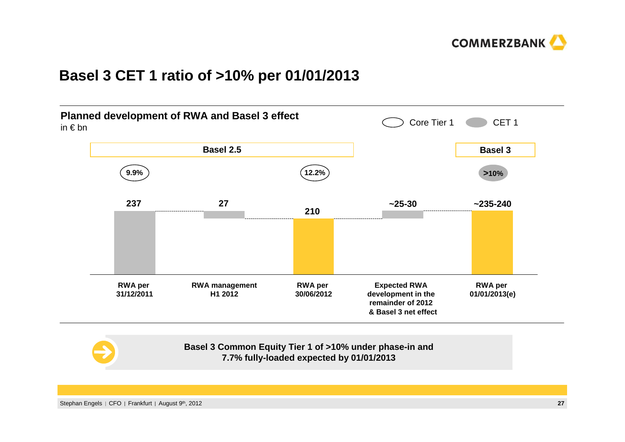

### **Basel 3 CET 1 ratio of >10% per 01/01/2013**



#### **Basel 3 Common Equity Tier 1 of >10% under phase-in and 7.7% fully-loaded expected by 01/01/2013**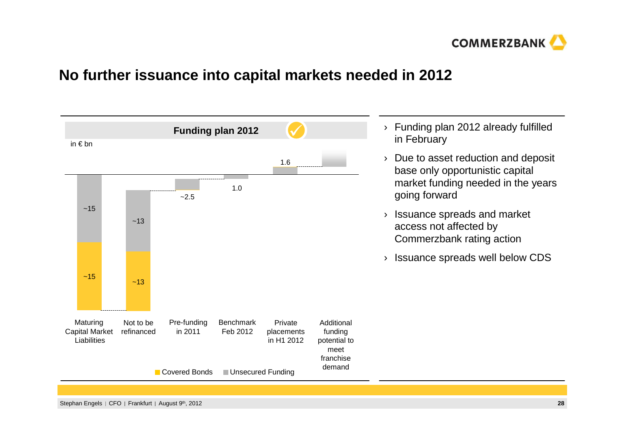

### **No further issuance into capital markets needed in 2012**

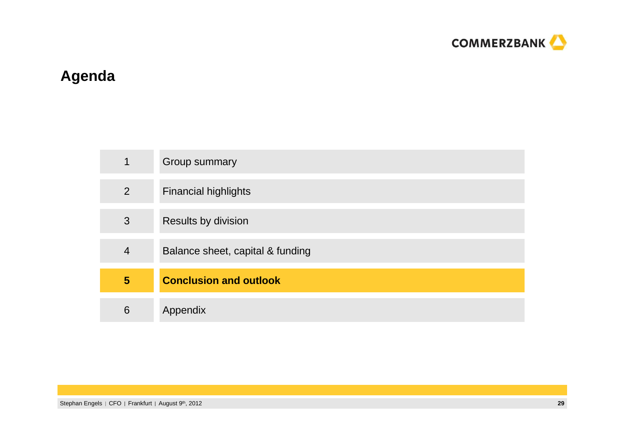

# **Agenda**

| 1 | Group summary                    |
|---|----------------------------------|
| 2 | <b>Financial highlights</b>      |
| 3 | Results by division              |
| 4 | Balance sheet, capital & funding |
| 5 | <b>Conclusion and outlook</b>    |
| 6 | Appendix                         |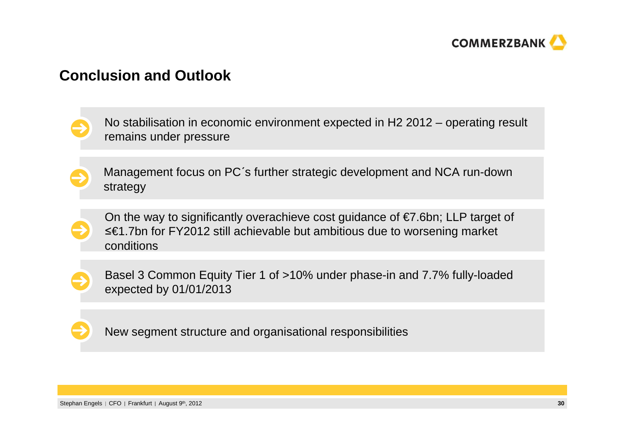

### **Conclusion and Outlook**

No stabilisation in economic environment expected in H2 2012 – operating result remains under pressure

Management focus on PC´<sup>s</sup> further strategic development and NCA run-down strategy



On the way to significantly overachieve cost guidance of €7.6bn; LLP target of ื€1.7bn for FY2012 still achievable but ambitious due to worsening market conditions



Basel 3 Common Equity Tier 1 of >10% under phase-in and 7.7% fully-loaded expected by 01/01/2013



New segment structure and organisational responsibilities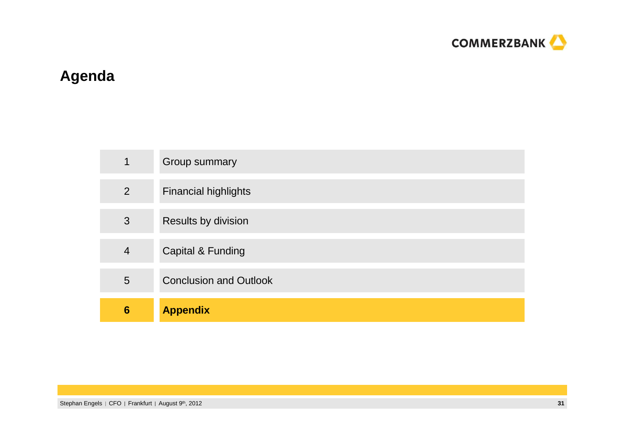

# **Agenda**

| 1               | Group summary                 |
|-----------------|-------------------------------|
| 2               | <b>Financial highlights</b>   |
| 3               | Results by division           |
| $\overline{4}$  | <b>Capital &amp; Funding</b>  |
| $5\overline{)}$ | <b>Conclusion and Outlook</b> |
| 6               | <b>Appendix</b>               |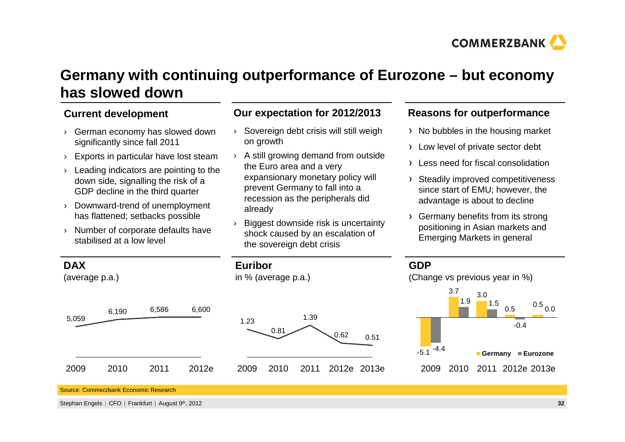

# **Germany with continuing outperformance of Eurozone – but economy has slowed down**

### **Current development**

- › German economy has slowed down significantly since fall 2011
- ›Exports in particular have lost steam
- › Leading indicators are pointing to the down side, signalling the risk of a GDP decline in the third quarter
- › Downward-trend of unemployment has flattened; setbacks possible
- › Number of corporate defaults have stabilised at a low level

### **Our expectation for 2012/2013**

›

- Sovereign debt crisis will still weigh on growth
- › A still growing demand from outside the Euro area and a very expansionary monetary policy will prevent Germany to fall into a recession as the peripherals did already
- ›Biggest downside risk is uncertainty shock caused by an escalation of the sovereign debt crisis

### **Reasons for outperformance**

- $\rightarrow$  No bubbles in the housing market
- > Low level of private sector debt
- $\rightarrow$  Less need for fiscal consolidation
- > Steadily improved competitiveness since start of EMU; however, the advantage is about to decline
- Germany benefits from its strong positioning in Asian markets and Emerging Markets in general



Source: Commerzbank Economic Research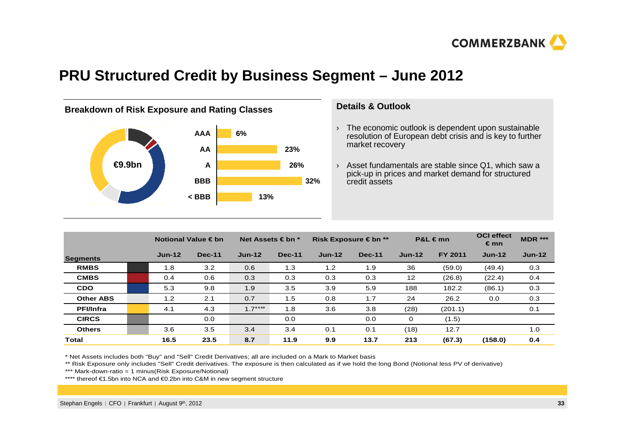

### **PRU Structured Credit by Business Segment – June 2012**



#### **Details & Outlook**

- $\rightarrow$  The economic outlook is dependent upon sustainable resolution of European debt crisis and is key to further market recovery
- › Asset fundamentals are stable since Q1, which saw a pick-up in prices and market demand for structured credit assets

|                  |          | Notional Value € bn | Net Assets $\in$ bn $*$ |               |          | Risk Exposure € bn ** | $P&L \in mn$ |                | <b>OCI</b> effect<br>€ mn | <b>MDR ***</b> |
|------------------|----------|---------------------|-------------------------|---------------|----------|-----------------------|--------------|----------------|---------------------------|----------------|
| <b>Segments</b>  | $Jun-12$ | <b>Dec-11</b>       | $Jun-12$                | <b>Dec-11</b> | $Jun-12$ | <b>Dec-11</b>         | $Jun-12$     | <b>FY 2011</b> | $Jun-12$                  | $Jun-12$       |
| <b>RMBS</b>      | 1.8      | 3.2                 | 0.6                     | 1.3           | 1.2      | 1.9                   | 36           | (59.0)         | (49.4)                    | 0.3            |
| <b>CMBS</b>      | 0.4      | 0.6                 | 0.3                     | 0.3           | 0.3      | 0.3                   | 12           | (26.8)         | (22.4)                    | 0.4            |
| <b>CDO</b>       | 5.3      | 9.8                 | 1.9                     | 3.5           | 3.9      | 5.9                   | 188          | 182.2          | (86.1)                    | 0.3            |
| <b>Other ABS</b> | 1.2      | 2.1                 | 0.7                     | 1.5           | 0.8      | 1.7                   | 24           | 26.2           | 0.0                       | 0.3            |
| <b>PFI/Infra</b> | 4.1      | 4.3                 | $1.7***$                | 1.8           | 3.6      | 3.8                   | (28)         | (201.1)        |                           | 0.1            |
| <b>CIRCS</b>     |          | 0.0                 |                         | 0.0           |          | 0.0                   | 0            | (1.5)          |                           |                |
| <b>Others</b>    | 3.6      | 3.5                 | 3.4                     | 3.4           | 0.1      | 0.1                   | (18)         | 12.7           |                           | 1.0            |
| Total            | 16.5     | 23.5                | 8.7                     | 11.9          | 9.9      | 13.7                  | 213          | (67.3)         | (158.0)                   | 0.4            |

\* Net Assets includes both "Buy" and "Sell" Credit Derivatives; all are included on a Mark to Market basis

\*\* Risk Exposure only includes "Sell" Credit derivatives. The exposure is then calculated as if we hold the long Bond (Notional less PV of derivative)

\*\*\* Mark-down-ratio = 1 minus(Risk Exposure/Notional)

\*\*\*\* thereof €1.5bn into NCA and €0.2bn into C&M innew segment structure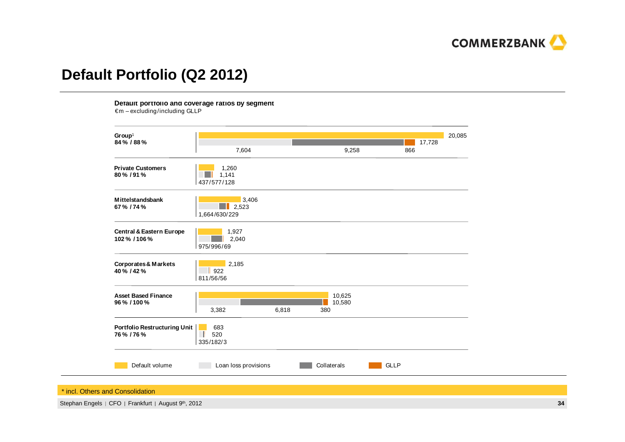

# **Default Portfolio (Q2 2012)**

**Default portfolio and coverage ratios by segment**

 $\epsilon$ m – excluding/including GLLP



\* incl. Others and Consolidation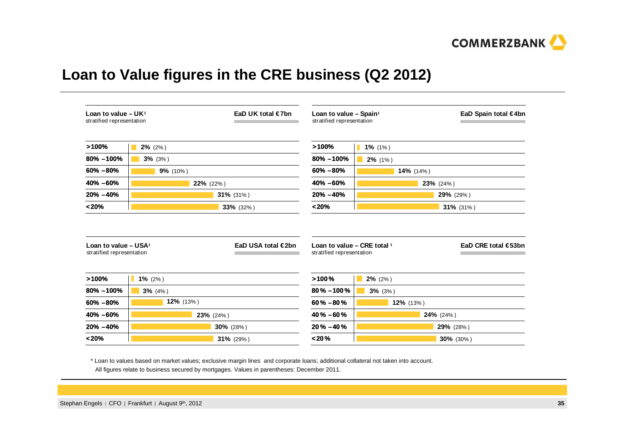

# **Loan to Value figures in the CRE business (Q2 2012)**

| Loan to value $- UK1$<br>stratified representation                                    | EaD UK total $\in$ 7bn | Loan to value - Spain <sup>1</sup><br>stratified representation |            | EaD Spain total €4bn |
|---------------------------------------------------------------------------------------|------------------------|-----------------------------------------------------------------|------------|----------------------|
| >100%                                                                                 | $2\%$ (2%)             | >100%                                                           | $1\%$ (1%) |                      |
| 80% -100%                                                                             | $3\%$ (3%)             | $80\% - 100\%$                                                  | $2\%$ (1%) |                      |
| $60\% - 80\%$                                                                         | 9% (10%)               | $60\% - 80\%$                                                   | 14% (14%)  |                      |
| 40% -60%                                                                              | 22% (22%)              | 40% -60%                                                        |            | 23% (24%)            |
| $20\% - 40\%$                                                                         | 31% (31%)              | $20\% - 40\%$                                                   |            | 29% (29%)            |
|                                                                                       |                        |                                                                 |            | $31\%$ (31%)         |
| < 20%                                                                                 | 33% (32%)              | < 20%                                                           |            |                      |
|                                                                                       | EaD USA total €2bn     | Loan to value - CRE total 1<br>stratified representation        |            |                      |
|                                                                                       | $1\%$ (2%)             | >100%                                                           | $2\%$ (2%) | EaD CRE total €53bn  |
| Loan to value $-$ USA <sup>1</sup><br>stratified representation<br>>100%<br>80% -100% | $3\%$ (4%)             | $80\% - 100\%$                                                  | $3\%$ (3%) |                      |
| $60\% - 80\%$                                                                         | 12% (13%)              | $60\% - 80\%$                                                   | 12% (13%)  |                      |
| 40% -60%                                                                              | 23% (24%)              | $40\% - 60\%$                                                   |            | 24% (24%)            |
| $20\% - 40\%$                                                                         | 30% (28%)              | $20\% - 40\%$                                                   |            | 29% (28%)            |

\* Loan to values based on market values; exclusive margin lines and corporate loans; additional collateral not taken into account. All figures relate to business secured by mortgages. Values in parentheses: December 2011.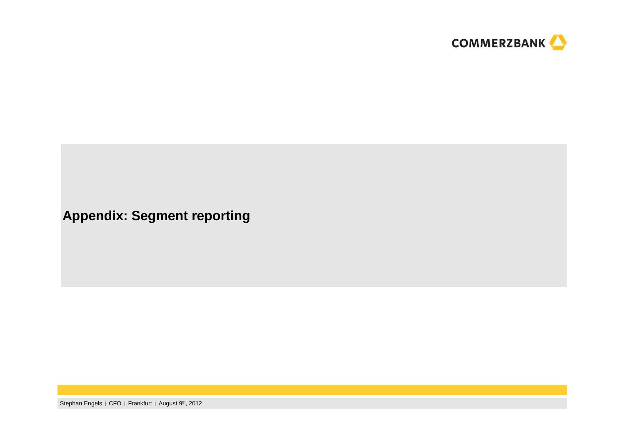

**Appendix: Segment reporting**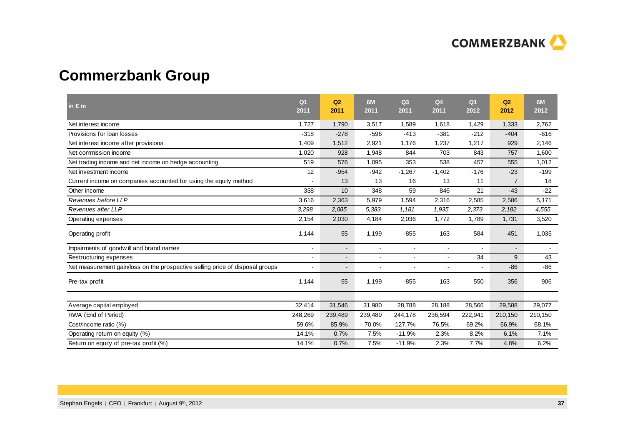

# **Commerzbank Group**

| in $\epsilon$ m                                                               | Q <sub>1</sub><br>2011 | Q2<br>2011               | 6M<br>2011     | Q <sub>3</sub><br>2011 | Q <sub>4</sub><br>2011   | Q <sub>1</sub><br>2012 | Q2<br>2012     | 6M<br>2012 |
|-------------------------------------------------------------------------------|------------------------|--------------------------|----------------|------------------------|--------------------------|------------------------|----------------|------------|
| Net interest income                                                           | 1.727                  | 1,790                    | 3,517          | 1,589                  | 1,618                    | 1,429                  | 1,333          | 2,762      |
| Provisions for loan losses                                                    | $-318$                 | $-278$                   | $-596$         | $-413$                 | $-381$                   | $-212$                 | $-404$         | $-616$     |
| Net interest income after provisions                                          | 1,409                  | 1,512                    | 2,921          | 1.176                  | 1,237                    | 1,217                  | 929            | 2,146      |
| Net commission income                                                         | 1,020                  | 928                      | 1,948          | 844                    | 703                      | 843                    | 757            | 1,600      |
| Net trading income and net income on hedge accounting                         | 519                    | 576                      | 1,095          | 353                    | 538                      | 457                    | 555            | 1,012      |
| Net investment income                                                         | 12                     | $-954$                   | $-942$         | $-1,267$               | $-1,402$                 | $-176$                 | $-23$          | $-199$     |
| Current income on companies accounted for using the equity method             |                        | 13                       | 13             | 16                     | 13                       | 11                     | $\overline{7}$ | 18         |
| Other income                                                                  | 338                    | 10                       | 348            | 59                     | 846                      | 21                     | $-43$          | $-22$      |
| Revenues before LLP                                                           | 3,616                  | 2,363                    | 5,979          | 1,594                  | 2,316                    | 2,585                  | 2,586          | 5,171      |
| Revenues after LLP                                                            | 3,298                  | 2,085                    | 5,383          | 1,181                  | 1,935                    | 2,373                  | 2,182          | 4,555      |
| Operating expenses                                                            | 2,154                  | 2,030                    | 4,184          | 2,036                  | 1,772                    | 1,789                  | 1,731          | 3,520      |
| Operating profit                                                              | 1,144                  | 55                       | 1,199          | $-855$                 | 163                      | 584                    | 451            | 1,035      |
| Impairments of goodwill and brand names                                       | ٠                      | $\overline{\phantom{a}}$ | $\blacksquare$ | $\blacksquare$         | $\overline{\phantom{a}}$ | $\blacksquare$         | $\blacksquare$ |            |
| Restructuring expenses                                                        | Ĭ.                     |                          |                | $\blacksquare$         |                          | 34                     | 9              | 43         |
| Net measurement gain/loss on the prospective selling price of disposal groups |                        | $\overline{a}$           |                | $\blacksquare$         |                          | $\blacksquare$         | $-86$          | $-86$      |
| Pre-tax profit                                                                | 1,144                  | 55                       | 1,199          | $-855$                 | 163                      | 550                    | 356            | 906        |
|                                                                               |                        |                          |                |                        |                          |                        |                |            |
| Average capital employed                                                      | 32,414                 | 31,546                   | 31,980         | 28,788                 | 28,188                   | 28,566                 | 29,588         | 29,077     |
| RWA (End of Period)                                                           | 248,269                | 239,489                  | 239,489        | 244,178                | 236,594                  | 222,941                | 210,150        | 210,150    |
| Cost/income ratio (%)                                                         | 59.6%                  | 85.9%                    | 70.0%          | 127.7%                 | 76.5%                    | 69.2%                  | 66.9%          | 68.1%      |
| Operating return on equity (%)                                                | 14.1%                  | 0.7%                     | 7.5%           | $-11.9%$               | 2.3%                     | 8.2%                   | 6.1%           | 7.1%       |
| Return on equity of pre-tax profit (%)                                        | 14.1%                  | 0.7%                     | 7.5%           | $-11.9%$               | 2.3%                     | 7.7%                   | 4.8%           | 6.2%       |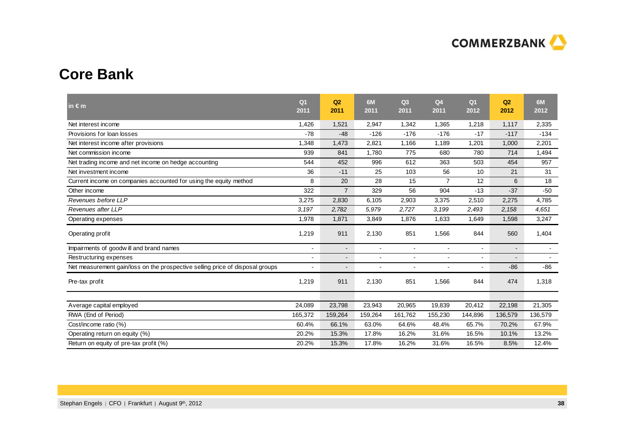

# **Core Bank**

| in $\epsilon$ m                                                               | Q <sub>1</sub><br>2011 | Q2<br>2011               | 6M<br>2011     | Q <sub>3</sub><br>2011 | Q <sub>4</sub><br>2011 | Q <sub>1</sub><br>2012 | Q2<br>2012     | 6M<br>2012     |
|-------------------------------------------------------------------------------|------------------------|--------------------------|----------------|------------------------|------------------------|------------------------|----------------|----------------|
| Net interest income                                                           | 1,426                  | 1,521                    | 2,947          | 1,342                  | 1,365                  | 1,218                  | 1,117          | 2,335          |
| Provisions for loan losses                                                    | $-78$                  | $-48$                    | $-126$         | $-176$                 | $-176$                 | $-17$                  | $-117$         | $-134$         |
| Net interest income after provisions                                          | 1,348                  | 1,473                    | 2,821          | 1,166                  | 1,189                  | 1,201                  | 1,000          | 2,201          |
| Net commission income                                                         | 939                    | 841                      | 1,780          | 775                    | 680                    | 780                    | 714            | 1,494          |
| Net trading income and net income on hedge accounting                         | 544                    | 452                      | 996            | 612                    | 363                    | 503                    | 454            | 957            |
| Net investment income                                                         | 36                     | $-11$                    | 25             | 103                    | 56                     | 10                     | 21             | 31             |
| Current income on companies accounted for using the equity method             | 8                      | 20                       | 28             | 15                     | $\overline{7}$         | 12                     | 6              | 18             |
| Other income                                                                  | 322                    | $\overline{7}$           | 329            | 56                     | 904                    | $-13$                  | $-37$          | $-50$          |
| Revenues before LLP                                                           | 3,275                  | 2,830                    | 6,105          | 2,903                  | 3,375                  | 2,510                  | 2,275          | 4,785          |
| Revenues after LLP                                                            | 3,197                  | 2,782                    | 5,979          | 2,727                  | 3,199                  | 2,493                  | 2,158          | 4,651          |
| Operating expenses                                                            | 1,978                  | 1,871                    | 3,849          | 1,876                  | 1,633                  | 1,649                  | 1,598          | 3,247          |
| Operating profit                                                              | 1,219                  | 911                      | 2,130          | 851                    | 1,566                  | 844                    | 560            | 1,404          |
| Impairments of goodwill and brand names                                       | $\overline{a}$         | $\overline{\phantom{a}}$ | $\blacksquare$ | $\blacksquare$         | $\blacksquare$         | $\blacksquare$         | $\blacksquare$ | $\blacksquare$ |
| Restructuring expenses                                                        |                        | $\blacksquare$           |                | $\blacksquare$         |                        |                        |                |                |
| Net measurement gain/loss on the prospective selling price of disposal groups |                        | $\blacksquare$           |                | $\blacksquare$         |                        | $\blacksquare$         | $-86$          | $-86$          |
| Pre-tax profit                                                                | 1,219                  | 911                      | 2,130          | 851                    | 1,566                  | 844                    | 474            | 1,318          |
|                                                                               |                        |                          |                |                        |                        |                        |                |                |
| Average capital employed                                                      | 24.089                 | 23,798                   | 23,943         | 20,965                 | 19,839                 | 20,412                 | 22,198         | 21,305         |
| RWA (End of Period)                                                           | 165,372                | 159,264                  | 159,264        | 161,762                | 155,230                | 144,896                | 136,579        | 136,579        |
| Cost/income ratio (%)                                                         | 60.4%                  | 66.1%                    | 63.0%          | 64.6%                  | 48.4%                  | 65.7%                  | 70.2%          | 67.9%          |
| Operating return on equity (%)                                                | 20.2%                  | 15.3%                    | 17.8%          | 16.2%                  | 31.6%                  | 16.5%                  | 10.1%          | 13.2%          |
| Return on equity of pre-tax profit (%)                                        | 20.2%                  | 15.3%                    | 17.8%          | 16.2%                  | 31.6%                  | 16.5%                  | 8.5%           | 12.4%          |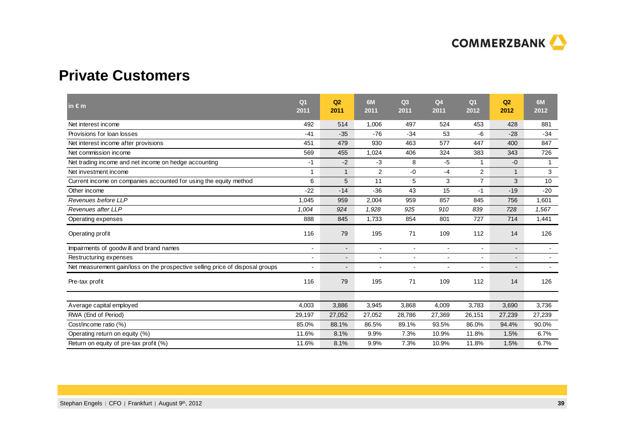

# **Private Customers**

| in $\epsilon$ m                                                               | Q <sub>1</sub><br>2011 | Q2<br>2011     | 6M<br>2011 | Q <sub>3</sub><br>2011 | Q <sub>4</sub><br>2011 | Q <sub>1</sub><br>2012   | Q2<br>2012               | 6M<br>2012   |
|-------------------------------------------------------------------------------|------------------------|----------------|------------|------------------------|------------------------|--------------------------|--------------------------|--------------|
| Net interest income                                                           | 492                    | 514            | 1,006      | 497                    | 524                    | 453                      | 428                      | 881          |
| Provisions for loan losses                                                    | $-41$                  | $-35$          | $-76$      | $-34$                  | 53                     | -6                       | $-28$                    | $-34$        |
| Net interest income after provisions                                          | 451                    | 479            | 930        | 463                    | 577                    | 447                      | 400                      | 847          |
| Net commission income                                                         | 569                    | 455            | 1,024      | 406                    | 324                    | 383                      | 343                      | 726          |
| Net trading income and net income on hedge accounting                         | $-1$                   | $-2$           | $-3$       | 8                      | $-5$                   | 1                        | $-0$                     | $\mathbf{1}$ |
| Net investment income                                                         | $\overline{1}$         | $\mathbf{1}$   | 2          | $-0$                   | $-4$                   | 2                        | $\mathbf{1}$             | 3            |
| Current income on companies accounted for using the equity method             | 6                      | 5              | 11         | 5                      | 3                      | $\overline{7}$           | 3                        | 10           |
| Other income                                                                  | $-22$                  | $-14$          | $-36$      | 43                     | 15                     | $-1$                     | $-19$                    | $-20$        |
| Revenues before LLP                                                           | 1,045                  | 959            | 2,004      | 959                    | 857                    | 845                      | 756                      | 1,601        |
| Revenues after LLP                                                            | 1,004                  | 924            | 1,928      | 925                    | 910                    | 839                      | 728                      | 1,567        |
| Operating expenses                                                            | 888                    | 845            | 1,733      | 854                    | 801                    | 727                      | 714                      | 1,441        |
| Operating profit                                                              | 116                    | 79             | 195        | 71                     | 109                    | 112                      | 14                       | 126          |
| Impairments of goodwill and brand names                                       | $\blacksquare$         | $\blacksquare$ | $\sim$     | $\sim$                 | $\blacksquare$         | $\overline{\phantom{a}}$ | $\overline{\phantom{a}}$ | $\sim$       |
| Restructuring expenses                                                        |                        | $\blacksquare$ |            | $\blacksquare$         |                        |                          | $\blacksquare$           |              |
| Net measurement gain/loss on the prospective selling price of disposal groups |                        | $\blacksquare$ |            | $\blacksquare$         | L,                     | $\overline{\phantom{a}}$ | $\blacksquare$           |              |
| Pre-tax profit                                                                | 116                    | 79             | 195        | 71                     | 109                    | 112                      | 14                       | 126          |
|                                                                               |                        |                |            |                        |                        |                          |                          |              |
| Average capital employed                                                      | 4.003                  | 3,886          | 3,945      | 3,868                  | 4,009                  | 3,783                    | 3,690                    | 3,736        |
| RWA (End of Period)                                                           | 29,197                 | 27,052         | 27,052     | 28,786                 | 27,369                 | 26,151                   | 27,239                   | 27,239       |
| Cost/income ratio (%)                                                         | 85.0%                  | 88.1%          | 86.5%      | 89.1%                  | 93.5%                  | 86.0%                    | 94.4%                    | 90.0%        |
| Operating return on equity (%)                                                | 11.6%                  | 8.1%           | 9.9%       | 7.3%                   | 10.9%                  | 11.8%                    | 1.5%                     | 6.7%         |
| Return on equity of pre-tax profit (%)                                        | 11.6%                  | 8.1%           | 9.9%       | 7.3%                   | 10.9%                  | 11.8%                    | 1.5%                     | 6.7%         |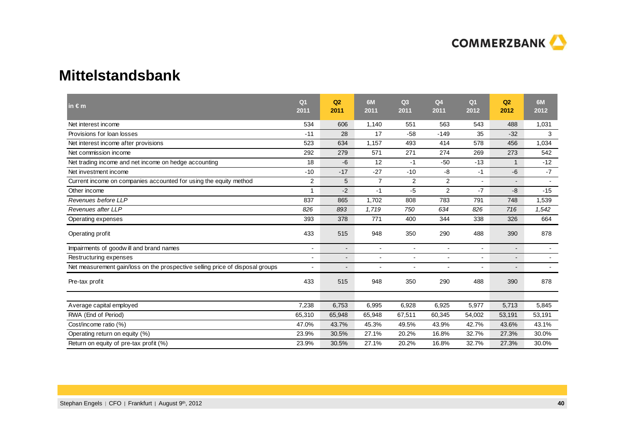

### **Mittelstandsbank**

| in $\epsilon$ m                                                               | Q <sub>1</sub><br>2011  | Q2<br>2011     | 6M<br>2011               | Q <sub>3</sub><br>2011 | Q <sub>4</sub><br>2011 | Q <sub>1</sub><br>2012 | Q2<br>2012               | 6M<br>2012               |
|-------------------------------------------------------------------------------|-------------------------|----------------|--------------------------|------------------------|------------------------|------------------------|--------------------------|--------------------------|
| Net interest income                                                           | 534                     | 606            | 1,140                    | 551                    | 563                    | 543                    | 488                      | 1,031                    |
| Provisions for loan losses                                                    | $-11$                   | 28             | 17                       | $-58$                  | $-149$                 | 35                     | $-32$                    | 3                        |
| Net interest income after provisions                                          | 523                     | 634            | 1,157                    | 493                    | 414                    | 578                    | 456                      | 1,034                    |
| Net commission income                                                         | 292                     | 279            | 571                      | 271                    | 274                    | 269                    | 273                      | 542                      |
| Net trading income and net income on hedge accounting                         | 18                      | -6             | 12                       | $-1$                   | $-50$                  | $-13$                  | $\mathbf 1$              | $-12$                    |
| Net investment income                                                         | $-10$                   | $-17$          | $-27$                    | $-10$                  | $-8$                   | $-1$                   | -6                       | $-7$                     |
| Current income on companies accounted for using the equity method             | 2                       | 5              | $\overline{7}$           | $\overline{2}$         | $\overline{c}$         | $\overline{a}$         | $\blacksquare$           |                          |
| Other income                                                                  | $\overline{\mathbf{A}}$ | $-2$           | $-1$                     | -5                     | $\overline{2}$         | $-7$                   | -8                       | $-15$                    |
| Revenues before LLP                                                           | 837                     | 865            | 1,702                    | 808                    | 783                    | 791                    | 748                      | 1,539                    |
| Revenues after LLP                                                            | 826                     | 893            | 1,719                    | 750                    | 634                    | 826                    | 716                      | 1,542                    |
| Operating expenses                                                            | 393                     | 378            | 771                      | 400                    | 344                    | 338                    | 326                      | 664                      |
| Operating profit                                                              | 433                     | 515            | 948                      | 350                    | 290                    | 488                    | 390                      | 878                      |
| Impairments of goodwill and brand names                                       |                         | $\blacksquare$ | $\overline{\phantom{a}}$ | $\blacksquare$         | $\blacksquare$         | $\blacksquare$         | $\overline{\phantom{a}}$ | $\overline{\phantom{a}}$ |
| Restructuring expenses                                                        |                         | $\blacksquare$ |                          | $\blacksquare$         |                        |                        | $\blacksquare$           |                          |
| Net measurement gain/loss on the prospective selling price of disposal groups |                         | $\blacksquare$ |                          | ÷                      |                        |                        | ۳                        |                          |
| Pre-tax profit                                                                | 433                     | 515            | 948                      | 350                    | 290                    | 488                    | 390                      | 878                      |
|                                                                               |                         |                |                          |                        |                        |                        |                          |                          |
| Average capital employed                                                      | 7,238                   | 6,753          | 6,995                    | 6,928                  | 6,925                  | 5,977                  | 5,713                    | 5,845                    |
| RWA (End of Period)                                                           | 65,310                  | 65,948         | 65,948                   | 67,511                 | 60,345                 | 54,002                 | 53,191                   | 53,191                   |
| Cost/income ratio (%)                                                         | 47.0%                   | 43.7%          | 45.3%                    | 49.5%                  | 43.9%                  | 42.7%                  | 43.6%                    | 43.1%                    |
| Operating return on equity (%)                                                | 23.9%                   | 30.5%          | 27.1%                    | 20.2%                  | 16.8%                  | 32.7%                  | 27.3%                    | 30.0%                    |
| Return on equity of pre-tax profit (%)                                        | 23.9%                   | 30.5%          | 27.1%                    | 20.2%                  | 16.8%                  | 32.7%                  | 27.3%                    | 30.0%                    |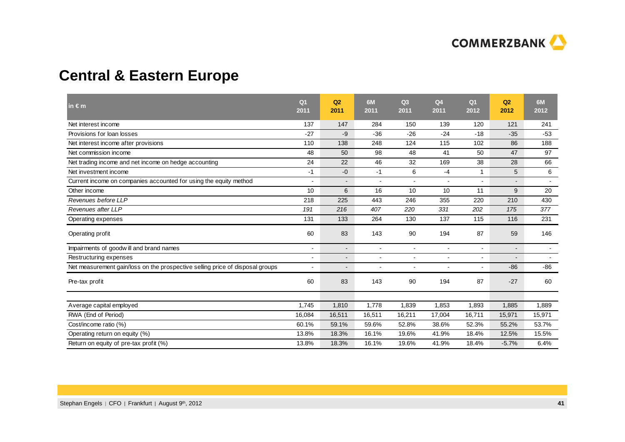

# **Central & Eastern Europe**

| in $\epsilon$ m                                                               | Q <sub>1</sub><br>2011   | Q2<br>2011                   | 6M<br>2011               | Q <sub>3</sub><br>2011 | Q <sub>4</sub><br>2011 | Q <sub>1</sub><br>2012 | Q2<br>2012               | 6M<br>2012               |
|-------------------------------------------------------------------------------|--------------------------|------------------------------|--------------------------|------------------------|------------------------|------------------------|--------------------------|--------------------------|
| Net interest income                                                           | 137                      | 147                          | 284                      | 150                    | 139                    | 120                    | 121                      | 241                      |
| Provisions for loan losses                                                    | $-27$                    | -9                           | $-36$                    | $-26$                  | $-24$                  | $-18$                  | $-35$                    | $-53$                    |
| Net interest income after provisions                                          | 110                      | 138                          | 248                      | 124                    | 115                    | 102                    | 86                       | 188                      |
| Net commission income                                                         | 48                       | 50                           | 98                       | 48                     | 41                     | 50                     | 47                       | 97                       |
| Net trading income and net income on hedge accounting                         | 24                       | 22                           | 46                       | 32                     | 169                    | 38                     | 28                       | 66                       |
| Net investment income                                                         | $-1$                     | $-0$                         | $-1$                     | 6                      | $-4$                   | $\mathbf{1}$           | 5                        | 6                        |
| Current income on companies accounted for using the equity method             |                          | $\qquad \qquad \blacksquare$ |                          | $\blacksquare$         | $\blacksquare$         |                        | $\overline{\phantom{a}}$ |                          |
| Other income                                                                  | 10                       | 6                            | 16                       | 10                     | 10                     | 11                     | 9                        | 20                       |
| Revenues before LLP                                                           | 218                      | 225                          | 443                      | 246                    | 355                    | 220                    | 210                      | 430                      |
| Revenues after LLP                                                            | 191                      | 216                          | 407                      | 220                    | 331                    | 202                    | 175                      | 377                      |
| Operating expenses                                                            | 131                      | 133                          | 264                      | 130                    | 137                    | 115                    | 116                      | 231                      |
| Operating profit                                                              | 60                       | 83                           | 143                      | 90                     | 194                    | 87                     | 59                       | 146                      |
| Impairments of goodwill and brand names                                       | $\blacksquare$           | $\overline{\phantom{a}}$     | $\overline{\phantom{a}}$ | $\blacksquare$         | $\blacksquare$         | $\blacksquare$         | $\overline{\phantom{a}}$ | $\blacksquare$           |
| Restructuring expenses                                                        |                          | -                            |                          | ٠                      |                        | $\blacksquare$         |                          | $\overline{\phantom{a}}$ |
| Net measurement gain/loss on the prospective selling price of disposal groups | $\overline{\phantom{a}}$ | $\overline{a}$               |                          | ÷                      |                        | $\blacksquare$         | $-86$                    | $-86$                    |
| Pre-tax profit                                                                | 60                       | 83                           | 143                      | 90                     | 194                    | 87                     | $-27$                    | 60                       |
|                                                                               |                          |                              |                          |                        |                        |                        |                          |                          |
| Average capital employed                                                      | 1,745                    | 1,810                        | 1,778                    | 1,839                  | 1,853                  | 1,893                  | 1,885                    | 1,889                    |
| RWA (End of Period)                                                           | 16,084                   | 16,511                       | 16,511                   | 16,211                 | 17,004                 | 16,711                 | 15,971                   | 15,971                   |
| Cost/income ratio (%)                                                         | 60.1%                    | 59.1%                        | 59.6%                    | 52.8%                  | 38.6%                  | 52.3%                  | 55.2%                    | 53.7%                    |
| Operating return on equity (%)                                                | 13.8%                    | 18.3%                        | 16.1%                    | 19.6%                  | 41.9%                  | 18.4%                  | 12.5%                    | 15.5%                    |
| Return on equity of pre-tax profit (%)                                        | 13.8%                    | 18.3%                        | 16.1%                    | 19.6%                  | 41.9%                  | 18.4%                  | $-5.7%$                  | 6.4%                     |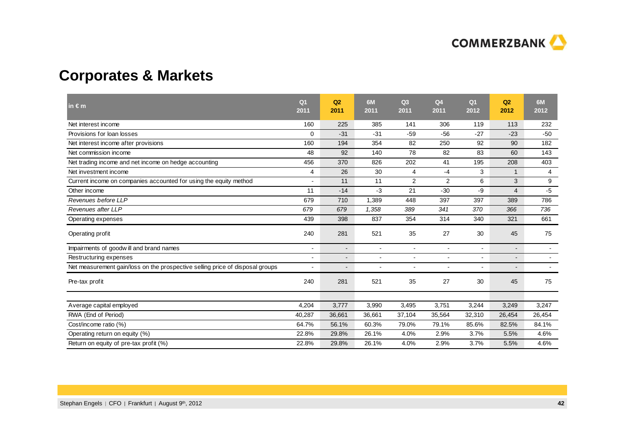

# **Corporates & Markets**

| in $\epsilon$ m                                                               | Q <sub>1</sub><br>2011 | Q2<br>2011               | 6M<br>2011     | Q <sub>3</sub><br>2011 | Q <sub>4</sub><br>2011   | Q <sub>1</sub><br>2012   | Q2<br>2012               | 6M<br>2012               |
|-------------------------------------------------------------------------------|------------------------|--------------------------|----------------|------------------------|--------------------------|--------------------------|--------------------------|--------------------------|
| Net interest income                                                           | 160                    | 225                      | 385            | 141                    | 306                      | 119                      | 113                      | 232                      |
| Provisions for loan losses                                                    | $\Omega$               | $-31$                    | $-31$          | $-59$                  | $-56$                    | $-27$                    | $-23$                    | $-50$                    |
| Net interest income after provisions                                          | 160                    | 194                      | 354            | 82                     | 250                      | 92                       | 90                       | 182                      |
| Net commission income                                                         | 48                     | 92                       | 140            | 78                     | 82                       | 83                       | 60                       | 143                      |
| Net trading income and net income on hedge accounting                         | 456                    | 370                      | 826            | 202                    | 41                       | 195                      | 208                      | 403                      |
| Net investment income                                                         | 4                      | 26                       | 30             | $\overline{4}$         | $-4$                     | 3                        | $\mathbf 1$              | $\overline{4}$           |
| Current income on companies accounted for using the equity method             |                        | 11                       | 11             | 2                      | $\overline{2}$           | 6                        | 3                        | 9                        |
| Other income                                                                  | 11                     | $-14$                    | $-3$           | 21                     | $-30$                    | $-9$                     | $\overline{4}$           | $-5$                     |
| Revenues before LLP                                                           | 679                    | 710                      | 1,389          | 448                    | 397                      | 397                      | 389                      | 786                      |
| Revenues after LLP                                                            | 679                    | 679                      | 1,358          | 389                    | 341                      | 370                      | 366                      | 736                      |
| Operating expenses                                                            | 439                    | 398                      | 837            | 354                    | 314                      | 340                      | 321                      | 661                      |
| Operating profit                                                              | 240                    | 281                      | 521            | 35                     | 27                       | 30                       | 45                       | 75                       |
| Impairments of goodwill and brand names                                       | $\overline{a}$         | $\overline{\phantom{a}}$ | $\blacksquare$ | $\blacksquare$         | $\sim$                   | $\blacksquare$           | $\overline{\phantom{a}}$ | $\sim$                   |
| Restructuring expenses                                                        | ٠                      | $\blacksquare$           |                | $\blacksquare$         |                          |                          | $\blacksquare$           | $\overline{\phantom{a}}$ |
| Net measurement gain/loss on the prospective selling price of disposal groups |                        | $\blacksquare$           |                | $\overline{a}$         | $\overline{\phantom{a}}$ | $\overline{\phantom{a}}$ | $\blacksquare$           |                          |
| Pre-tax profit                                                                | 240                    | 281                      | 521            | 35                     | 27                       | 30                       | 45                       | 75                       |
|                                                                               |                        |                          |                |                        |                          |                          |                          |                          |
| Average capital employed                                                      | 4.204                  | 3,777                    | 3,990          | 3,495                  | 3,751                    | 3,244                    | 3,249                    | 3,247                    |
| RWA (End of Period)                                                           | 40,287                 | 36,661                   | 36,661         | 37,104                 | 35,564                   | 32,310                   | 26,454                   | 26,454                   |
| Cost/income ratio (%)                                                         | 64.7%                  | 56.1%                    | 60.3%          | 79.0%                  | 79.1%                    | 85.6%                    | 82.5%                    | 84.1%                    |
| Operating return on equity (%)                                                | 22.8%                  | 29.8%                    | 26.1%          | 4.0%                   | 2.9%                     | 3.7%                     | 5.5%                     | 4.6%                     |
| Return on equity of pre-tax profit (%)                                        | 22.8%                  | 29.8%                    | 26.1%          | 4.0%                   | 2.9%                     | 3.7%                     | 5.5%                     | 4.6%                     |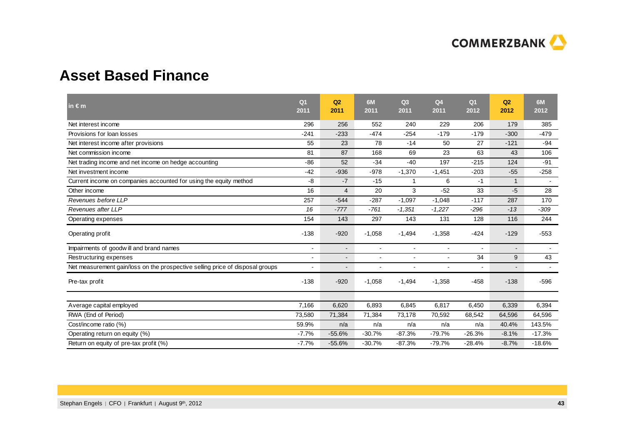

# **Asset Based Finance**

| in $\epsilon$ m                                                               | Q <sub>1</sub><br>2011   | Q2<br>2011               | 6M<br>2011               | Q <sub>3</sub><br>2011 | Q <sub>4</sub><br>2011 | Q <sub>1</sub><br>2012 | Q <sub>2</sub><br>2012   | 6M<br>2012               |
|-------------------------------------------------------------------------------|--------------------------|--------------------------|--------------------------|------------------------|------------------------|------------------------|--------------------------|--------------------------|
| Net interest income                                                           | 296                      | 256                      | 552                      | 240                    | 229                    | 206                    | 179                      | 385                      |
| Provisions for loan losses                                                    | $-241$                   | $-233$                   | $-474$                   | $-254$                 | $-179$                 | $-179$                 | $-300$                   | $-479$                   |
| Net interest income after provisions                                          | 55                       | 23                       | 78                       | $-14$                  | 50                     | 27                     | $-121$                   | $-94$                    |
| Net commission income                                                         | 81                       | 87                       | 168                      | 69                     | 23                     | 63                     | 43                       | 106                      |
| Net trading income and net income on hedge accounting                         | $-86$                    | 52                       | $-34$                    | $-40$                  | 197                    | $-215$                 | 124                      | $-91$                    |
| Net investment income                                                         | $-42$                    | $-936$                   | $-978$                   | $-1,370$               | $-1,451$               | $-203$                 | $-55$                    | $-258$                   |
| Current income on companies accounted for using the equity method             | -8                       | $-7$                     | $-15$                    | 1                      | 6                      | $-1$                   | $\mathbf{1}$             | $\blacksquare$           |
| Other income                                                                  | 16                       | $\overline{4}$           | 20                       | 3                      | $-52$                  | 33                     | -5                       | 28                       |
| Revenues before LLP                                                           | 257                      | $-544$                   | $-287$                   | $-1,097$               | $-1,048$               | $-117$                 | 287                      | 170                      |
| Revenues after LLP                                                            | 16                       | $-777$                   | $-761$                   | $-1,351$               | $-1,227$               | $-296$                 | $-13$                    | $-309$                   |
| Operating expenses                                                            | 154                      | 143                      | 297                      | 143                    | 131                    | 128                    | 116                      | 244                      |
| Operating profit                                                              | $-138$                   | $-920$                   | $-1,058$                 | $-1,494$               | $-1,358$               | $-424$                 | $-129$                   | $-553$                   |
| Impairments of goodwill and brand names                                       | $\blacksquare$           | $\overline{\phantom{a}}$ | $\overline{\phantom{a}}$ | $\blacksquare$         | $\blacksquare$         | $\blacksquare$         | $\overline{\phantom{a}}$ | $\overline{\phantom{a}}$ |
| Restructuring expenses                                                        |                          | $\overline{a}$           |                          | $\overline{a}$         |                        | 34                     | 9                        | 43                       |
| Net measurement gain/loss on the prospective selling price of disposal groups | $\overline{\phantom{a}}$ | $\blacksquare$           | $\overline{\phantom{a}}$ | ÷                      | $\overline{a}$         | $\blacksquare$         |                          | $\sim$                   |
| Pre-tax profit                                                                | $-138$                   | $-920$                   | $-1,058$                 | $-1,494$               | $-1,358$               | $-458$                 | $-138$                   | $-596$                   |
|                                                                               |                          |                          |                          |                        |                        |                        |                          |                          |
| Average capital employed                                                      | 7,166                    | 6,620                    | 6,893                    | 6,845                  | 6,817                  | 6,450                  | 6,339                    | 6,394                    |
| RWA (End of Period)                                                           | 73,580                   | 71,384                   | 71,384                   | 73,178                 | 70,592                 | 68,542                 | 64,596                   | 64,596                   |
| Cost/income ratio (%)                                                         | 59.9%                    | n/a                      | n/a                      | n/a                    | n/a                    | n/a                    | 40.4%                    | 143.5%                   |
| Operating return on equity (%)                                                | $-7.7%$                  | $-55.6%$                 | $-30.7%$                 | $-87.3%$               | $-79.7%$               | $-26.3%$               | $-8.1%$                  | $-17.3%$                 |
| Return on equity of pre-tax profit (%)                                        | $-7.7%$                  | $-55.6%$                 | $-30.7%$                 | $-87.3%$               | $-79.7%$               | $-28.4%$               | $-8.7%$                  | $-18.6%$                 |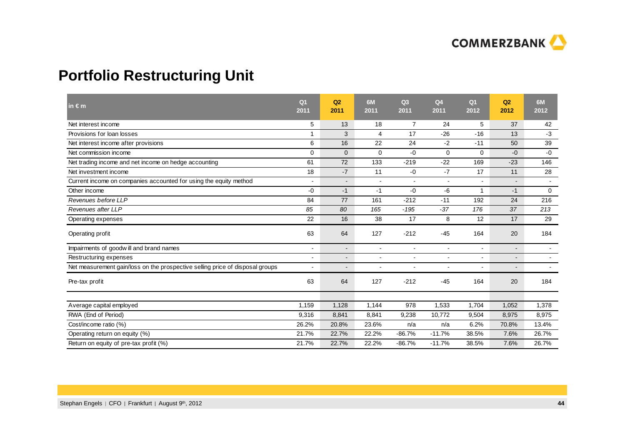

# **Portfolio Restructuring Unit**

| in $\epsilon$ m                                                               | Q <sub>1</sub><br>2011 | Q2<br>2011     | 6M<br>2011               | Q <sub>3</sub><br>2011 | Q <sub>4</sub><br>2011 | Q <sub>1</sub><br>2012 | Q2<br>2012               | 6M<br>2012     |
|-------------------------------------------------------------------------------|------------------------|----------------|--------------------------|------------------------|------------------------|------------------------|--------------------------|----------------|
| Net interest income                                                           | 5                      | 13             | 18                       | $\overline{7}$         | 24                     | 5                      | 37                       | 42             |
| Provisions for loan losses                                                    |                        | 3              | $\overline{4}$           | 17                     | $-26$                  | $-16$                  | 13                       | $-3$           |
| Net interest income after provisions                                          | 6                      | 16             | 22                       | 24                     | $-2$                   | $-11$                  | 50                       | 39             |
| Net commission income                                                         | $\mathbf 0$            | $\mathbf{0}$   | $\mathbf 0$              | $-0$                   | $\mathbf 0$            | $\mathbf 0$            | $-0$                     | $-0$           |
| Net trading income and net income on hedge accounting                         | 61                     | 72             | 133                      | $-219$                 | $-22$                  | 169                    | $-23$                    | 146            |
| Net investment income                                                         | 18                     | $-7$           | 11                       | $-0$                   | $-7$                   | 17                     | 11                       | 28             |
| Current income on companies accounted for using the equity method             | $\blacksquare$         | $\blacksquare$ | $\sim$                   | $\blacksquare$         | $\sim$                 | $\blacksquare$         | $\blacksquare$           | $\sim$         |
| Other income                                                                  | $-0$                   | $-1$           | $-1$                     | $-0$                   | $-6$                   | 1                      | $-1$                     | 0              |
| Revenues before LLP                                                           | 84                     | 77             | 161                      | $-212$                 | $-11$                  | 192                    | 24                       | 216            |
| Revenues after LLP                                                            | 85                     | 80             | 165                      | $-195$                 | $-37$                  | 176                    | 37                       | 213            |
| Operating expenses                                                            | 22                     | 16             | 38                       | 17                     | 8                      | 12                     | 17                       | 29             |
| Operating profit                                                              | 63                     | 64             | 127                      | $-212$                 | $-45$                  | 164                    | 20                       | 184            |
| Impairments of goodwill and brand names                                       | $\blacksquare$         | $\blacksquare$ | $\blacksquare$           | $\blacksquare$         | $\sim$                 | $\blacksquare$         | $\blacksquare$           | $\blacksquare$ |
| Restructuring expenses                                                        |                        | $\blacksquare$ |                          | $\blacksquare$         |                        | $\blacksquare$         | $\overline{\phantom{0}}$ |                |
| Net measurement gain/loss on the prospective selling price of disposal groups | $\overline{a}$         | $\overline{a}$ | $\overline{\phantom{a}}$ | $\overline{a}$         |                        | $\overline{a}$         |                          |                |
| Pre-tax profit                                                                | 63                     | 64             | 127                      | $-212$                 | $-45$                  | 164                    | 20                       | 184            |
|                                                                               |                        |                |                          |                        |                        |                        |                          |                |
| Average capital employed                                                      | 1,159                  | 1,128          | 1,144                    | 978                    | 1,533                  | 1,704                  | 1,052                    | 1,378          |
| RWA (End of Period)                                                           | 9,316                  | 8,841          | 8,841                    | 9,238                  | 10,772                 | 9,504                  | 8,975                    | 8,975          |
| Cost/income ratio (%)                                                         | 26.2%                  | 20.8%          | 23.6%                    | n/a                    | n/a                    | 6.2%                   | 70.8%                    | 13.4%          |
| Operating return on equity (%)                                                | 21.7%                  | 22.7%          | 22.2%                    | $-86.7%$               | $-11.7%$               | 38.5%                  | 7.6%                     | 26.7%          |
| Return on equity of pre-tax profit (%)                                        | 21.7%                  | 22.7%          | 22.2%                    | $-86.7%$               | $-11.7%$               | 38.5%                  | 7.6%                     | 26.7%          |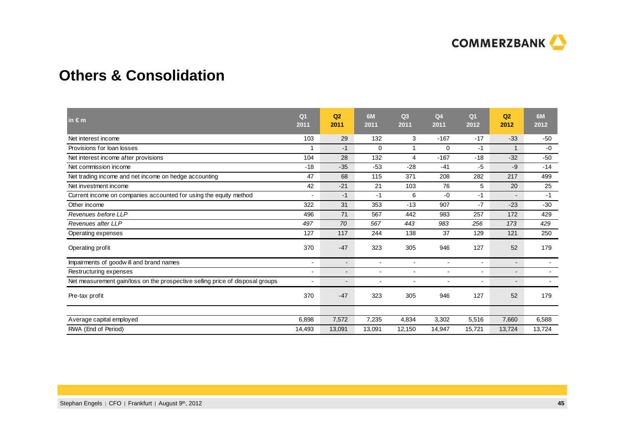

# **Others & Consolidation**

| $in \in \mathsf{m}$                                                           | Q <sub>1</sub><br>2011 | Q2<br>2011     | 6M<br>2011 | Q <sub>3</sub><br>2011 | Q <sub>4</sub><br>2011 | Q <sub>1</sub><br>2012 | Q2<br>2012               | 6M<br>2012 |
|-------------------------------------------------------------------------------|------------------------|----------------|------------|------------------------|------------------------|------------------------|--------------------------|------------|
| Net interest income                                                           | 103                    | 29             | 132        | 3                      | $-167$                 | $-17$                  | $-33$                    | $-50$      |
| Provisions for loan losses                                                    |                        | $-1$           | $\Omega$   |                        | 0                      | $-1$                   | $\mathbf{1}$             | $-0$       |
| Net interest income after provisions                                          | 104                    | 28             | 132        | 4                      | $-167$                 | $-18$                  | $-32$                    | $-50$      |
| Net commission income                                                         | $-18$                  | $-35$          | $-53$      | $-28$                  | $-41$                  | -5                     | -9                       | $-14$      |
| Net trading income and net income on hedge accounting                         | 47                     | 68             | 115        | 371                    | 208                    | 282                    | 217                      | 499        |
| Net investment income                                                         | 42                     | $-21$          | 21         | 103                    | 76                     | 5                      | 20                       | 25         |
| Current income on companies accounted for using the equity method             |                        | $-1$           | $-1$       | 6                      | $-0$                   | $-1$                   |                          | $-1$       |
| Other income                                                                  | 322                    | 31             | 353        | $-13$                  | 907                    | $-7$                   | $-23$                    | $-30$      |
| Revenues before LLP                                                           | 496                    | 71             | 567        | 442                    | 983                    | 257                    | 172                      | 429        |
| Revenues after LLP                                                            | 497                    | 70             | 567        | 443                    | 983                    | 256                    | 173                      | 429        |
| Operating expenses                                                            | 127                    | 117            | 244        | 138                    | 37                     | 129                    | 121                      | 250        |
| Operating profit                                                              | 370                    | $-47$          | 323        | 305                    | 946                    | 127                    | 52                       | 179        |
| Impairments of goodwill and brand names                                       | $\blacksquare$         | $\blacksquare$ |            | $\blacksquare$         |                        | $\blacksquare$         | $\overline{\phantom{a}}$ |            |
| Restructuring expenses                                                        |                        | $\overline{a}$ |            |                        |                        |                        | $\overline{\phantom{a}}$ |            |
| Net measurement gain/loss on the prospective selling price of disposal groups |                        |                |            | $\blacksquare$         |                        |                        |                          |            |
| Pre-tax profit                                                                | 370                    | $-47$          | 323        | 305                    | 946                    | 127                    | 52                       | 179        |
|                                                                               |                        |                |            |                        |                        |                        |                          |            |
| Average capital employed                                                      | 6,898                  | 7,572          | 7,235      | 4,834                  | 3,302                  | 5,516                  | 7,660                    | 6,588      |
| RWA (End of Period)                                                           | 14,493                 | 13,091         | 13,091     | 12,150                 | 14,947                 | 15,721                 | 13,724                   | 13,724     |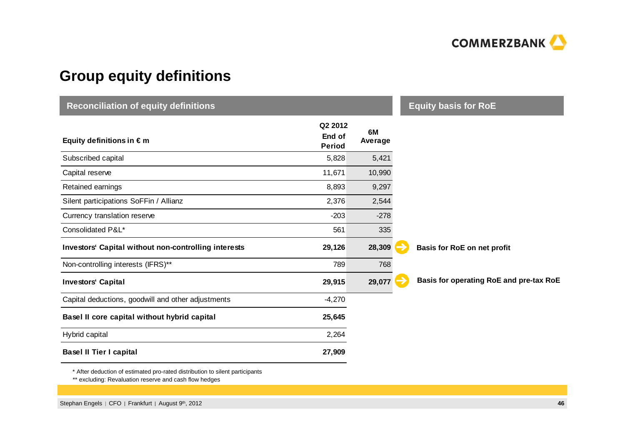

# **Group equity definitions**

| <b>Reconciliation of equity definitions</b>                 | <b>Equity basis for RoE</b>        |               |                                         |  |
|-------------------------------------------------------------|------------------------------------|---------------|-----------------------------------------|--|
| Equity definitions in $\epsilon$ m                          | Q2 2012<br>End of<br><b>Period</b> | 6M<br>Average |                                         |  |
| Subscribed capital                                          | 5,828                              | 5,421         |                                         |  |
| Capital reserve                                             | 11,671                             | 10,990        |                                         |  |
| Retained earnings                                           | 8,893                              | 9,297         |                                         |  |
| Silent participations SoFFin / Allianz                      | 2,376                              | 2,544         |                                         |  |
| Currency translation reserve                                | $-203$                             | $-278$        |                                         |  |
| Consolidated P&L*                                           | 561                                | 335           |                                         |  |
| <b>Investors' Capital without non-controlling interests</b> | 29,126                             | 28,309        | Basis for RoE on net profit             |  |
| Non-controlling interests (IFRS)**                          | 789                                | 768           |                                         |  |
| <b>Investors' Capital</b>                                   | 29,915                             | 29,077        | Basis for operating RoE and pre-tax RoE |  |
| Capital deductions, goodwill and other adjustments          | $-4,270$                           |               |                                         |  |
| Basel II core capital without hybrid capital                | 25,645                             |               |                                         |  |
| Hybrid capital                                              | 2,264                              |               |                                         |  |
| <b>Basel II Tier I capital</b>                              | 27,909                             |               |                                         |  |

\* After deduction of estimated pro-rated distribution to silent participants

\*\* excluding: Revaluation reserve and cash flow hedges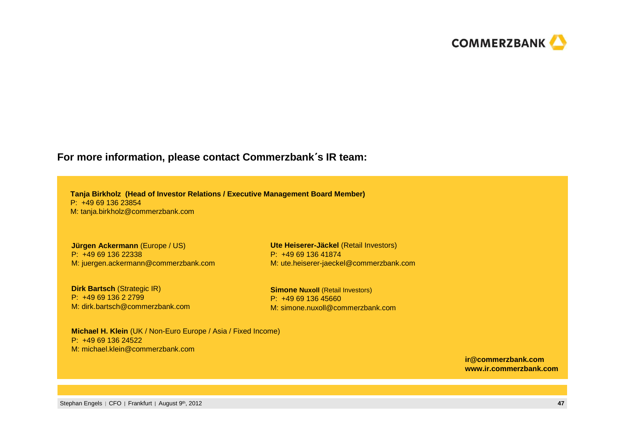

### **For more information, please contact Commerzbank**´**<sup>s</sup> IR team:**

**Tanja Birkholz (Head of Investor Relations / Executive Management Board Member)**P: +49 69 136 23854M: tanja.birkholz@commerzbank.com

**Jürgen Ackermann** (Europe / US)P: +49 69 136 22338M: juergen.ackermann@commerzbank.com

**Dirk Bartsch (Strategic IR)** P: +49 69 136 2 2799 M: dirk.bartsch@commerzbank.com

**Ute Heiserer-Jäckel** (Retail Investors)P: +49 69 136 41874M: ute.heiserer-jaeckel@commerzbank.com

**Simone Nuxoll (Retail Investors)** P: +49 69 136 45660M: simone.nuxoll@commerzbank.com

**Michael H. Klein** (UK / Non-Euro Europe / Asia / Fixed Income)P: +49 69 136 24522M: michael.klein@commerzbank.com

> **ir@commerzbank.comwww.ir.commerzbank.com**